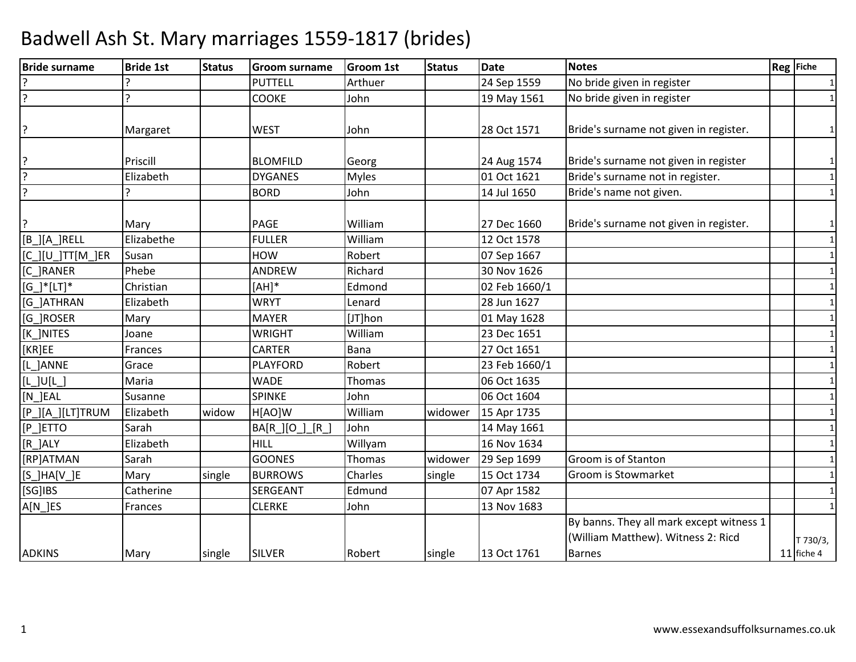| <b>Bride surname</b>     | <b>Bride 1st</b> | <b>Status</b> | Groom surname     | <b>Groom 1st</b> | <b>Status</b> | <b>Date</b>   | <b>Notes</b>                             | Reg Fiche    |
|--------------------------|------------------|---------------|-------------------|------------------|---------------|---------------|------------------------------------------|--------------|
|                          |                  |               | <b>PUTTELL</b>    | Arthuer          |               | 24 Sep 1559   | No bride given in register               | $\mathbf{1}$ |
| $\overline{?}$           |                  |               | <b>COOKE</b>      | John             |               | 19 May 1561   | No bride given in register               | $\mathbf{1}$ |
|                          |                  |               |                   |                  |               |               |                                          |              |
| ?                        | Margaret         |               | <b>WEST</b>       | John             |               | 28 Oct 1571   | Bride's surname not given in register.   | 1            |
|                          |                  |               |                   |                  |               |               |                                          |              |
| ?                        | Priscill         |               | <b>BLOMFILD</b>   | Georg            |               | 24 Aug 1574   | Bride's surname not given in register    | 1            |
| $\overline{?}$           | Elizabeth        |               | <b>DYGANES</b>    | <b>Myles</b>     |               | 01 Oct 1621   | Bride's surname not in register.         | $\mathbf{1}$ |
| ?                        |                  |               | <b>BORD</b>       | John             |               | 14 Jul 1650   | Bride's name not given.                  | $\mathbf{1}$ |
|                          |                  |               |                   |                  |               |               |                                          |              |
| ?                        | Mary             |               | PAGE              | William          |               | 27 Dec 1660   | Bride's surname not given in register.   | $\mathbf{1}$ |
| $[B_][A_]$ RELL          | Elizabethe       |               | <b>FULLER</b>     | William          |               | 12 Oct 1578   |                                          | $\mathbf{1}$ |
| $[C$ ] $[U$ ]TT $[M]$ ER | Susan            |               | HOW               | Robert           |               | 07 Sep 1667   |                                          | $\mathbf{1}$ |
| [C_]RANER                | Phebe            |               | ANDREW            | Richard          |               | 30 Nov 1626   |                                          | 1            |
| $[G_]'*[LT]$             | Christian        |               | $[AH]*$           | Edmond           |               | 02 Feb 1660/1 |                                          | 1            |
| [G_]ATHRAN               | Elizabeth        |               | <b>WRYT</b>       | Lenard           |               | 28 Jun 1627   |                                          | $\mathbf{1}$ |
| [G_]ROSER                | Mary             |               | <b>MAYER</b>      | [JT]hon          |               | 01 May 1628   |                                          |              |
| [K_]NITES                | Joane            |               | <b>WRIGHT</b>     | William          |               | 23 Dec 1651   |                                          | $\mathbf{1}$ |
| [KR]EE                   | Frances          |               | <b>CARTER</b>     | Bana             |               | 27 Oct 1651   |                                          | 1            |
| [L_]ANNE                 | Grace            |               | <b>PLAYFORD</b>   | Robert           |               | 23 Feb 1660/1 |                                          |              |
| $[L$ ]U $[L]$            | Maria            |               | <b>WADE</b>       | Thomas           |               | 06 Oct 1635   |                                          | 1            |
| $[N$ ]EAL                | Susanne          |               | <b>SPINKE</b>     | John             |               | 06 Oct 1604   |                                          | 1            |
| [P_][A_][LT]TRUM         | Elizabeth        | widow         | H[AO]W            | William          | widower       | 15 Apr 1735   |                                          | $\mathbf{1}$ |
| $[P$ ]ETTO               | Sarah            |               | [R]<br>BA[R_][O_] | John             |               | 14 May 1661   |                                          | $\mathbf{1}$ |
| [R_]ALY                  | Elizabeth        |               | <b>HILL</b>       | Willyam          |               | 16 Nov 1634   |                                          |              |
| [RP]ATMAN                | Sarah            |               | <b>GOONES</b>     | Thomas           | widower       | 29 Sep 1699   | Groom is of Stanton                      |              |
| $[S_]HA[V_]E$            | Mary             | single        | <b>BURROWS</b>    | Charles          | single        | 15 Oct 1734   | Groom is Stowmarket                      | 1            |
| [SG]IBS                  | Catherine        |               | SERGEANT          | Edmund           |               | 07 Apr 1582   |                                          | $\mathbf{1}$ |
| A[N_]ES                  | Frances          |               | <b>CLERKE</b>     | John             |               | 13 Nov 1683   |                                          | 1            |
|                          |                  |               |                   |                  |               |               | By banns. They all mark except witness 1 |              |
|                          |                  |               |                   |                  |               |               | (William Matthew). Witness 2: Ricd       | T 730/3,     |
| <b>ADKINS</b>            | Mary             | single        | <b>SILVER</b>     | Robert           | single        | 13 Oct 1761   | <b>Barnes</b>                            | 11 fiche 4   |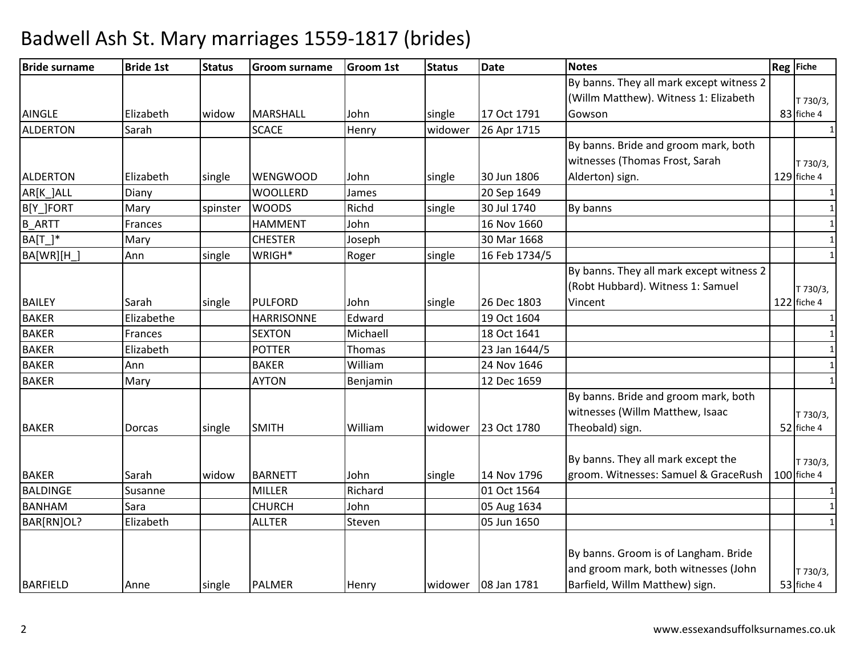| <b>Bride surname</b> | <b>Bride 1st</b> | <b>Status</b> | <b>Groom surname</b> | <b>Groom 1st</b> | <b>Status</b> | <b>Date</b>   | <b>Notes</b>                             | Reg Fiche    |
|----------------------|------------------|---------------|----------------------|------------------|---------------|---------------|------------------------------------------|--------------|
|                      |                  |               |                      |                  |               |               | By banns. They all mark except witness 2 |              |
|                      |                  |               |                      |                  |               |               | (Willm Matthew). Witness 1: Elizabeth    | T 730/3,     |
| <b>AINGLE</b>        | Elizabeth        | widow         | <b>MARSHALL</b>      | John             | single        | 17 Oct 1791   | Gowson                                   | 83 fiche 4   |
| <b>ALDERTON</b>      | Sarah            |               | <b>SCACE</b>         | Henry            | widower       | 26 Apr 1715   |                                          | $\mathbf{1}$ |
|                      |                  |               |                      |                  |               |               | By banns. Bride and groom mark, both     |              |
|                      |                  |               |                      |                  |               |               | witnesses (Thomas Frost, Sarah           | T 730/3,     |
| ALDERTON             | Elizabeth        | single        | <b>WENGWOOD</b>      | John             | single        | 30 Jun 1806   | Alderton) sign.                          | 129 fiche 4  |
| AR[K_]ALL            | Diany            |               | <b>WOOLLERD</b>      | James            |               | 20 Sep 1649   |                                          | $\mathbf{1}$ |
| B[Y_]FORT            | Mary             | spinster      | <b>WOODS</b>         | Richd            | single        | 30 Jul 1740   | By banns                                 | 1            |
| <b>B_ARTT</b>        | Frances          |               | <b>HAMMENT</b>       | John             |               | 16 Nov 1660   |                                          | $\mathbf{1}$ |
| $BA[T_$              | Mary             |               | <b>CHESTER</b>       | Joseph           |               | 30 Mar 1668   |                                          | $\mathbf{1}$ |
| BA[WR][H_]           | Ann              | single        | WRIGH*               | Roger            | single        | 16 Feb 1734/5 |                                          | $\mathbf{1}$ |
|                      |                  |               |                      |                  |               |               | By banns. They all mark except witness 2 |              |
|                      |                  |               |                      |                  |               |               | (Robt Hubbard). Witness 1: Samuel        | T 730/3,     |
| <b>BAILEY</b>        | Sarah            | single        | <b>PULFORD</b>       | John             | single        | 26 Dec 1803   | Vincent                                  | 122 fiche 4  |
| <b>BAKER</b>         | Elizabethe       |               | <b>HARRISONNE</b>    | Edward           |               | 19 Oct 1604   |                                          |              |
| <b>BAKER</b>         | Frances          |               | <b>SEXTON</b>        | Michaell         |               | 18 Oct 1641   |                                          | $\mathbf{1}$ |
| <b>BAKER</b>         | Elizabeth        |               | <b>POTTER</b>        | Thomas           |               | 23 Jan 1644/5 |                                          | $\mathbf{1}$ |
| <b>BAKER</b>         | Ann              |               | <b>BAKER</b>         | William          |               | 24 Nov 1646   |                                          | $\mathbf{1}$ |
| <b>BAKER</b>         | Mary             |               | <b>AYTON</b>         | Benjamin         |               | 12 Dec 1659   |                                          |              |
|                      |                  |               |                      |                  |               |               | By banns. Bride and groom mark, both     |              |
|                      |                  |               |                      |                  |               |               | witnesses (Willm Matthew, Isaac          | T 730/3,     |
| <b>BAKER</b>         | <b>Dorcas</b>    | single        | <b>SMITH</b>         | William          | widower       | 23 Oct 1780   | Theobald) sign.                          | 52 fiche 4   |
|                      |                  |               |                      |                  |               |               |                                          |              |
|                      |                  |               |                      |                  |               |               | By banns. They all mark except the       | T 730/3,     |
| <b>BAKER</b>         | Sarah            | widow         | <b>BARNETT</b>       | John             | single        | 14 Nov 1796   | groom. Witnesses: Samuel & GraceRush     | 100 fiche 4  |
| <b>BALDINGE</b>      | Susanne          |               | <b>MILLER</b>        | Richard          |               | 01 Oct 1564   |                                          | 1            |
| <b>BANHAM</b>        | Sara             |               | <b>CHURCH</b>        | John             |               | 05 Aug 1634   |                                          | 1            |
| BAR[RN]OL?           | Elizabeth        |               | <b>ALLTER</b>        | Steven           |               | 05 Jun 1650   |                                          | $\mathbf{1}$ |
|                      |                  |               |                      |                  |               |               |                                          |              |
|                      |                  |               |                      |                  |               |               | By banns. Groom is of Langham. Bride     |              |
|                      |                  |               |                      |                  |               |               | and groom mark, both witnesses (John     | T 730/3,     |
| <b>BARFIELD</b>      | Anne             | single        | <b>PALMER</b>        | Henry            | widower       | 08 Jan 1781   | Barfield, Willm Matthew) sign.           | 53 fiche 4   |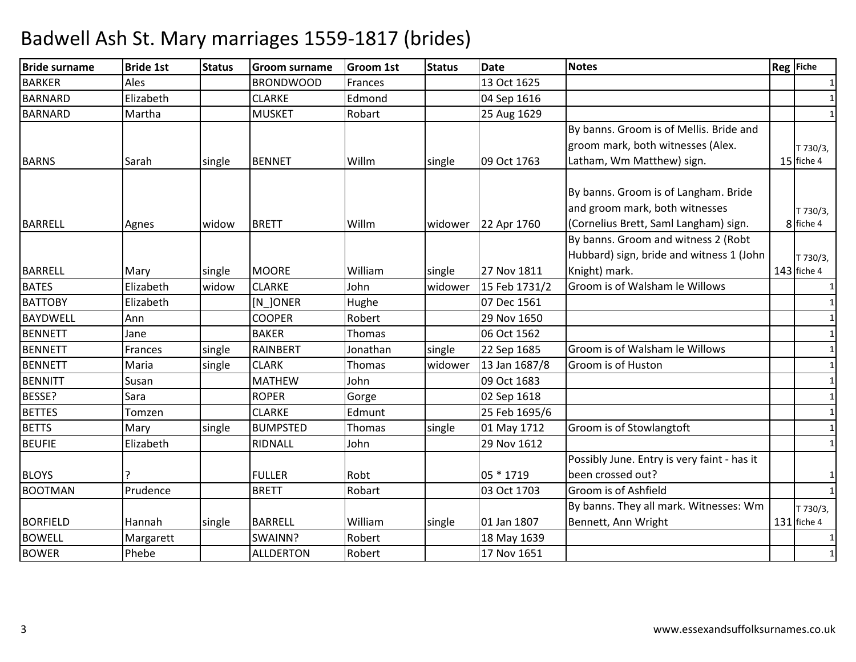| <b>Bride surname</b> | <b>Bride 1st</b> | <b>Status</b> | <b>Groom surname</b> | <b>Groom 1st</b> | <b>Status</b> | <b>Date</b>   | <b>Notes</b>                                | Reg Fiche     |
|----------------------|------------------|---------------|----------------------|------------------|---------------|---------------|---------------------------------------------|---------------|
| <b>BARKER</b>        | Ales             |               | <b>BRONDWOOD</b>     | Frances          |               | 13 Oct 1625   |                                             |               |
| <b>BARNARD</b>       | Elizabeth        |               | <b>CLARKE</b>        | Edmond           |               | 04 Sep 1616   |                                             | $\mathbf{1}$  |
| <b>BARNARD</b>       | Martha           |               | <b>MUSKET</b>        | Robart           |               | 25 Aug 1629   |                                             |               |
|                      |                  |               |                      |                  |               |               | By banns. Groom is of Mellis. Bride and     |               |
|                      |                  |               |                      |                  |               |               | groom mark, both witnesses (Alex.           | T 730/3,      |
| <b>BARNS</b>         | Sarah            | single        | <b>BENNET</b>        | Willm            | single        | 09 Oct 1763   | Latham, Wm Matthew) sign.                   | 15 fiche 4    |
|                      |                  |               |                      |                  |               |               | By banns. Groom is of Langham. Bride        |               |
|                      |                  |               |                      |                  |               |               | and groom mark, both witnesses              | T 730/3,      |
| <b>BARRELL</b>       | Agnes            | widow         | <b>BRETT</b>         | Willm            | widower       | 22 Apr 1760   | (Cornelius Brett, Saml Langham) sign.       | 8 fiche 4     |
|                      |                  |               |                      |                  |               |               | By banns. Groom and witness 2 (Robt         |               |
|                      |                  |               |                      |                  |               |               | Hubbard) sign, bride and witness 1 (John    | T 730/3,      |
| <b>BARRELL</b>       | Mary             | single        | <b>MOORE</b>         | William          | single        | 27 Nov 1811   | Knight) mark.                               | $143$ fiche 4 |
| <b>BATES</b>         | Elizabeth        | widow         | <b>CLARKE</b>        | John             | widower       | 15 Feb 1731/2 | Groom is of Walsham le Willows              | $\mathbf{1}$  |
| <b>BATTOBY</b>       | Elizabeth        |               | [N_]ONER             | Hughe            |               | 07 Dec 1561   |                                             |               |
| <b>BAYDWELL</b>      | Ann              |               | <b>COOPER</b>        | Robert           |               | 29 Nov 1650   |                                             | $\mathbf{1}$  |
| <b>BENNETT</b>       | Jane             |               | <b>BAKER</b>         | Thomas           |               | 06 Oct 1562   |                                             | $\mathbf{1}$  |
| <b>BENNETT</b>       | Frances          | single        | <b>RAINBERT</b>      | Jonathan         | single        | 22 Sep 1685   | Groom is of Walsham le Willows              |               |
| <b>BENNETT</b>       | Maria            | single        | <b>CLARK</b>         | <b>Thomas</b>    | widower       | 13 Jan 1687/8 | Groom is of Huston                          | 1             |
| <b>BENNITT</b>       | Susan            |               | <b>MATHEW</b>        | John             |               | 09 Oct 1683   |                                             | $\mathbf{1}$  |
| BESSE?               | Sara             |               | <b>ROPER</b>         | Gorge            |               | 02 Sep 1618   |                                             | 1             |
| <b>BETTES</b>        | Tomzen           |               | <b>CLARKE</b>        | Edmunt           |               | 25 Feb 1695/6 |                                             | 1             |
| <b>BETTS</b>         | Mary             | single        | <b>BUMPSTED</b>      | Thomas           | single        | 01 May 1712   | Groom is of Stowlangtoft                    |               |
| <b>BEUFIE</b>        | Elizabeth        |               | RIDNALL              | John             |               | 29 Nov 1612   |                                             | 1             |
|                      |                  |               |                      |                  |               |               | Possibly June. Entry is very faint - has it |               |
| <b>BLOYS</b>         |                  |               | <b>FULLER</b>        | Robt             |               | 05 * 1719     | been crossed out?                           | 1             |
| <b>BOOTMAN</b>       | Prudence         |               | <b>BRETT</b>         | Robart           |               | 03 Oct 1703   | Groom is of Ashfield                        | $\mathbf{1}$  |
|                      |                  |               |                      |                  |               |               | By banns. They all mark. Witnesses: Wm      | T 730/3,      |
| <b>BORFIELD</b>      | Hannah           | single        | <b>BARRELL</b>       | William          | single        | 01 Jan 1807   | Bennett, Ann Wright                         | 131 fiche 4   |
| <b>BOWELL</b>        | Margarett        |               | SWAINN?              | Robert           |               | 18 May 1639   |                                             |               |
| <b>BOWER</b>         | Phebe            |               | <b>ALLDERTON</b>     | Robert           |               | 17 Nov 1651   |                                             | 1             |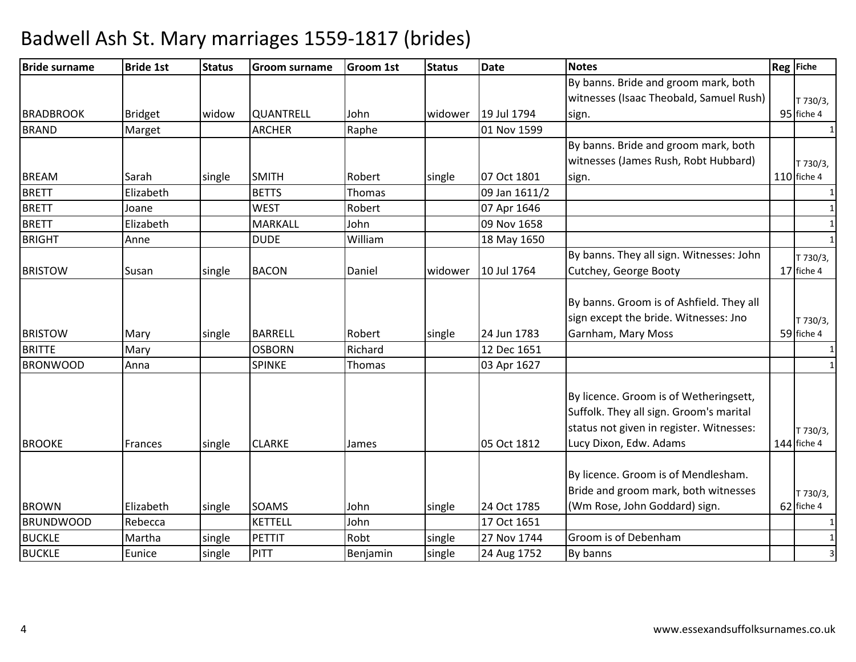| <b>Bride surname</b> | <b>Bride 1st</b> | <b>Status</b> | <b>Groom surname</b> | <b>Groom 1st</b> | <b>Status</b> | <b>Date</b>   | <b>Notes</b>                                                                                                                                            | <b>Reg</b> Fiche        |
|----------------------|------------------|---------------|----------------------|------------------|---------------|---------------|---------------------------------------------------------------------------------------------------------------------------------------------------------|-------------------------|
|                      |                  |               |                      |                  |               |               | By banns. Bride and groom mark, both                                                                                                                    |                         |
|                      |                  |               |                      |                  |               |               | witnesses (Isaac Theobald, Samuel Rush)                                                                                                                 | T 730/3,                |
| <b>BRADBROOK</b>     | <b>Bridget</b>   | widow         | QUANTRELL            | John             | widower       | 19 Jul 1794   | sign.                                                                                                                                                   | 95 fiche 4              |
| <b>BRAND</b>         | Marget           |               | <b>ARCHER</b>        | Raphe            |               | 01 Nov 1599   |                                                                                                                                                         |                         |
|                      |                  |               |                      |                  |               |               | By banns. Bride and groom mark, both                                                                                                                    |                         |
|                      |                  |               |                      |                  |               |               | witnesses (James Rush, Robt Hubbard)                                                                                                                    | T 730/3,                |
| <b>BREAM</b>         | Sarah            | single        | <b>SMITH</b>         | Robert           | single        | 07 Oct 1801   | sign.                                                                                                                                                   | $110$ fiche 4           |
| <b>BRETT</b>         | Elizabeth        |               | <b>BETTS</b>         | Thomas           |               | 09 Jan 1611/2 |                                                                                                                                                         |                         |
| <b>BRETT</b>         | Joane            |               | <b>WEST</b>          | Robert           |               | 07 Apr 1646   |                                                                                                                                                         |                         |
| <b>BRETT</b>         | Elizabeth        |               | <b>MARKALL</b>       | John             |               | 09 Nov 1658   |                                                                                                                                                         |                         |
| <b>BRIGHT</b>        | Anne             |               | <b>DUDE</b>          | William          |               | 18 May 1650   |                                                                                                                                                         |                         |
|                      |                  |               |                      |                  |               |               | By banns. They all sign. Witnesses: John                                                                                                                | T 730/3,                |
| <b>BRISTOW</b>       | Susan            | single        | <b>BACON</b>         | Daniel           | widower       | 10 Jul 1764   | Cutchey, George Booty                                                                                                                                   | 17 fiche 4              |
| <b>BRISTOW</b>       | Mary             | single        | <b>BARRELL</b>       | Robert           | single        | 24 Jun 1783   | By banns. Groom is of Ashfield. They all<br>sign except the bride. Witnesses: Jno<br>Garnham, Mary Moss                                                 | T 730/3,<br>59 fiche 4  |
| <b>BRITTE</b>        | Mary             |               | <b>OSBORN</b>        | Richard          |               | 12 Dec 1651   |                                                                                                                                                         |                         |
| <b>BRONWOOD</b>      | Anna             |               | <b>SPINKE</b>        | Thomas           |               | 03 Apr 1627   |                                                                                                                                                         | $\mathbf{1}$            |
| <b>BROOKE</b>        | Frances          | single        | <b>CLARKE</b>        | James            |               | 05 Oct 1812   | By licence. Groom is of Wetheringsett,<br>Suffolk. They all sign. Groom's marital<br>status not given in register. Witnesses:<br>Lucy Dixon, Edw. Adams | T 730/3,<br>144 fiche 4 |
| <b>BROWN</b>         | Elizabeth        | single        | SOAMS                | John             | single        | 24 Oct 1785   | By licence. Groom is of Mendlesham.<br>Bride and groom mark, both witnesses<br>(Wm Rose, John Goddard) sign.                                            | T 730/3,<br>62 fiche 4  |
| <b>BRUNDWOOD</b>     | Rebecca          |               | <b>KETTELL</b>       | John             |               | 17 Oct 1651   |                                                                                                                                                         |                         |
| <b>BUCKLE</b>        | Martha           | single        | <b>PETTIT</b>        | Robt             | single        | 27 Nov 1744   | Groom is of Debenham                                                                                                                                    |                         |
| <b>BUCKLE</b>        | Eunice           | single        | <b>PITT</b>          | Benjamin         | single        | 24 Aug 1752   | By banns                                                                                                                                                | 3                       |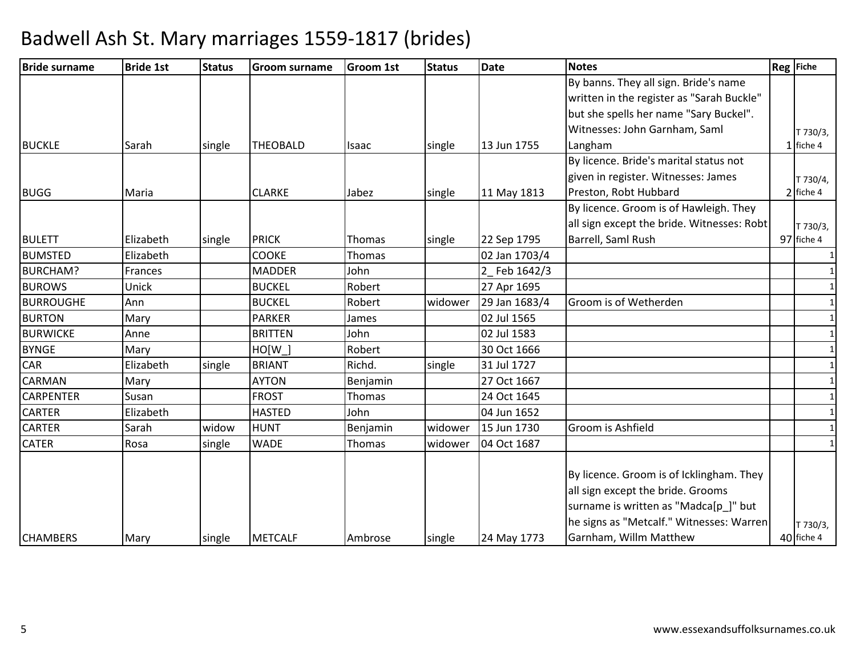| <b>Bride surname</b> | <b>Bride 1st</b> | <b>Status</b> | <b>Groom surname</b> | <b>Groom 1st</b> | <b>Status</b> | <b>Date</b>   | <b>Notes</b>                               | <b>Reg</b> Fiche |
|----------------------|------------------|---------------|----------------------|------------------|---------------|---------------|--------------------------------------------|------------------|
|                      |                  |               |                      |                  |               |               | By banns. They all sign. Bride's name      |                  |
|                      |                  |               |                      |                  |               |               | written in the register as "Sarah Buckle"  |                  |
|                      |                  |               |                      |                  |               |               | but she spells her name "Sary Buckel".     |                  |
|                      |                  |               |                      |                  |               |               | Witnesses: John Garnham, Saml              | T 730/3,         |
| <b>BUCKLE</b>        | Sarah            | single        | <b>THEOBALD</b>      | Isaac            | single        | 13 Jun 1755   | Langham                                    | $1$ fiche 4      |
|                      |                  |               |                      |                  |               |               | By licence. Bride's marital status not     |                  |
|                      |                  |               |                      |                  |               |               | given in register. Witnesses: James        | T 730/4,         |
| <b>BUGG</b>          | Maria            |               | <b>CLARKE</b>        | Jabez            | single        | 11 May 1813   | Preston, Robt Hubbard                      | $2$ fiche 4      |
|                      |                  |               |                      |                  |               |               | By licence. Groom is of Hawleigh. They     |                  |
|                      |                  |               |                      |                  |               |               | all sign except the bride. Witnesses: Robt | T 730/3,         |
| <b>BULETT</b>        | Elizabeth        | single        | <b>PRICK</b>         | Thomas           | single        | 22 Sep 1795   | Barrell, Saml Rush                         | 97 fiche 4       |
| <b>BUMSTED</b>       | Elizabeth        |               | <b>COOKE</b>         | Thomas           |               | 02 Jan 1703/4 |                                            |                  |
| <b>BURCHAM?</b>      | Frances          |               | <b>MADDER</b>        | John             |               | Feb 1642/3    |                                            |                  |
| <b>BUROWS</b>        | Unick            |               | <b>BUCKEL</b>        | Robert           |               | 27 Apr 1695   |                                            |                  |
| <b>BURROUGHE</b>     | Ann              |               | <b>BUCKEL</b>        | Robert           | widower       | 29 Jan 1683/4 | Groom is of Wetherden                      |                  |
| <b>BURTON</b>        | Mary             |               | <b>PARKER</b>        | James            |               | 02 Jul 1565   |                                            |                  |
| <b>BURWICKE</b>      | Anne             |               | <b>BRITTEN</b>       | John             |               | 02 Jul 1583   |                                            |                  |
| <b>BYNGE</b>         | Mary             |               | HO[W]                | Robert           |               | 30 Oct 1666   |                                            | 1                |
| <b>CAR</b>           | Elizabeth        | single        | <b>BRIANT</b>        | Richd.           | single        | 31 Jul 1727   |                                            |                  |
| <b>CARMAN</b>        | Mary             |               | <b>AYTON</b>         | Benjamin         |               | 27 Oct 1667   |                                            |                  |
| <b>CARPENTER</b>     | Susan            |               | <b>FROST</b>         | Thomas           |               | 24 Oct 1645   |                                            |                  |
| <b>CARTER</b>        | Elizabeth        |               | <b>HASTED</b>        | John             |               | 04 Jun 1652   |                                            |                  |
| <b>CARTER</b>        | Sarah            | widow         | <b>HUNT</b>          | Benjamin         | widower       | 15 Jun 1730   | Groom is Ashfield                          |                  |
| <b>CATER</b>         | Rosa             | single        | <b>WADE</b>          | Thomas           | widower       | 04 Oct 1687   |                                            |                  |
|                      |                  |               |                      |                  |               |               |                                            |                  |
|                      |                  |               |                      |                  |               |               | By licence. Groom is of Icklingham. They   |                  |
|                      |                  |               |                      |                  |               |               | all sign except the bride. Grooms          |                  |
|                      |                  |               |                      |                  |               |               | surname is written as "Madca[p_]" but      |                  |
|                      |                  |               |                      |                  |               |               | he signs as "Metcalf." Witnesses: Warren   | T 730/3,         |
| <b>CHAMBERS</b>      | Mary             | single        | <b>METCALF</b>       | Ambrose          | single        | 24 May 1773   | Garnham, Willm Matthew                     | 40 fiche 4       |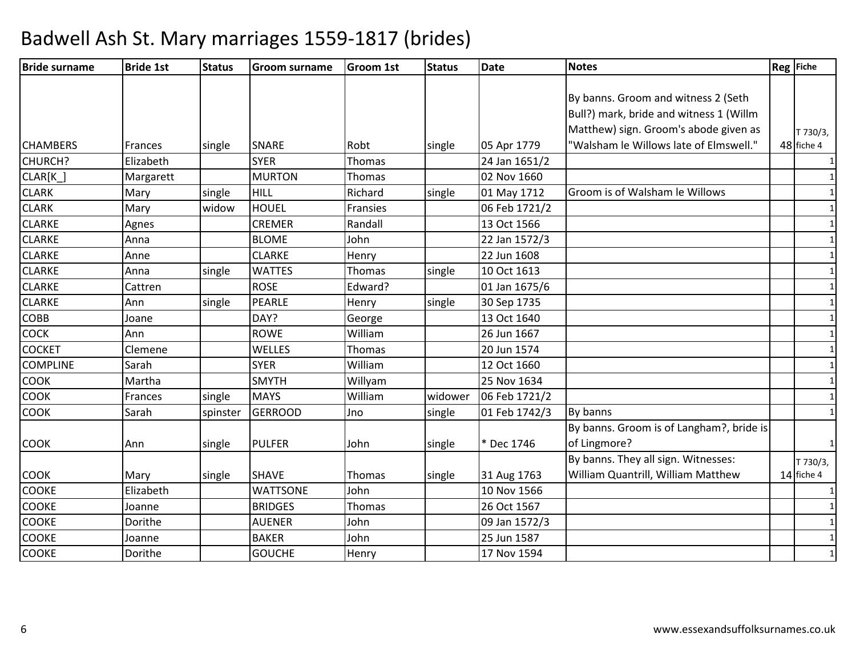| <b>Bride surname</b> | <b>Bride 1st</b> | <b>Status</b> | Groom surname   | <b>Groom 1st</b> | <b>Status</b> | <b>Date</b>   | <b>Notes</b>                             | <b>Reg</b> Fiche |
|----------------------|------------------|---------------|-----------------|------------------|---------------|---------------|------------------------------------------|------------------|
|                      |                  |               |                 |                  |               |               |                                          |                  |
|                      |                  |               |                 |                  |               |               | By banns. Groom and witness 2 (Seth      |                  |
|                      |                  |               |                 |                  |               |               | Bull?) mark, bride and witness 1 (Willm  |                  |
|                      |                  |               |                 |                  |               |               | Matthew) sign. Groom's abode given as    | T 730/3,         |
| <b>CHAMBERS</b>      | Frances          | single        | <b>SNARE</b>    | Robt             | single        | 05 Apr 1779   | "Walsham le Willows late of Elmswell."   | 48 fiche 4       |
| CHURCH?              | Elizabeth        |               | <b>SYER</b>     | Thomas           |               | 24 Jan 1651/2 |                                          |                  |
| CLAR[K_]             | Margarett        |               | <b>MURTON</b>   | Thomas           |               | 02 Nov 1660   |                                          | $\mathbf{1}$     |
| <b>CLARK</b>         | Mary             | single        | HILL            | Richard          | single        | 01 May 1712   | Groom is of Walsham le Willows           |                  |
| <b>CLARK</b>         | Mary             | widow         | <b>HOUEL</b>    | Fransies         |               | 06 Feb 1721/2 |                                          |                  |
| <b>CLARKE</b>        | Agnes            |               | <b>CREMER</b>   | Randall          |               | 13 Oct 1566   |                                          | $\mathbf{1}$     |
| <b>CLARKE</b>        | Anna             |               | <b>BLOME</b>    | John             |               | 22 Jan 1572/3 |                                          |                  |
| <b>CLARKE</b>        | Anne             |               | <b>CLARKE</b>   | Henry            |               | 22 Jun 1608   |                                          |                  |
| <b>CLARKE</b>        | Anna             | single        | <b>WATTES</b>   | Thomas           | single        | 10 Oct 1613   |                                          | $\mathbf{1}$     |
| <b>CLARKE</b>        | Cattren          |               | <b>ROSE</b>     | Edward?          |               | 01 Jan 1675/6 |                                          |                  |
| <b>CLARKE</b>        | Ann              | single        | PEARLE          | Henry            | single        | 30 Sep 1735   |                                          |                  |
| <b>COBB</b>          | Joane            |               | DAY?            | George           |               | 13 Oct 1640   |                                          | $\mathbf{1}$     |
| <b>COCK</b>          | Ann              |               | <b>ROWE</b>     | William          |               | 26 Jun 1667   |                                          |                  |
| <b>COCKET</b>        | Clemene          |               | WELLES          | Thomas           |               | 20 Jun 1574   |                                          |                  |
| <b>COMPLINE</b>      | Sarah            |               | <b>SYER</b>     | William          |               | 12 Oct 1660   |                                          | $\mathbf{1}$     |
| <b>COOK</b>          | Martha           |               | <b>SMYTH</b>    | Willyam          |               | 25 Nov 1634   |                                          | $\mathbf 1$      |
| COOK                 | Frances          | single        | <b>MAYS</b>     | William          | widower       | 06 Feb 1721/2 |                                          | $\mathbf{1}$     |
| <b>COOK</b>          | Sarah            | spinster      | <b>GERROOD</b>  | Jno              | single        | 01 Feb 1742/3 | By banns                                 | $\mathbf{1}$     |
|                      |                  |               |                 |                  |               |               | By banns. Groom is of Langham?, bride is |                  |
| <b>COOK</b>          | Ann              | single        | <b>PULFER</b>   | John             | single        | * Dec 1746    | of Lingmore?                             | $\mathbf{1}$     |
|                      |                  |               |                 |                  |               |               | By banns. They all sign. Witnesses:      | T 730/3,         |
| <b>COOK</b>          | Mary             | single        | <b>SHAVE</b>    | Thomas           | single        | 31 Aug 1763   | William Quantrill, William Matthew       | 14 fiche 4       |
| <b>COOKE</b>         | Elizabeth        |               | <b>WATTSONE</b> | John             |               | 10 Nov 1566   |                                          |                  |
| <b>COOKE</b>         | Joanne           |               | <b>BRIDGES</b>  | Thomas           |               | 26 Oct 1567   |                                          | 1                |
| <b>COOKE</b>         | Dorithe          |               | <b>AUENER</b>   | John             |               | 09 Jan 1572/3 |                                          | $\mathbf{1}$     |
| <b>COOKE</b>         | Joanne           |               | <b>BAKER</b>    | John             |               | 25 Jun 1587   |                                          | $\mathbf{1}$     |
| <b>COOKE</b>         | Dorithe          |               | <b>GOUCHE</b>   | Henry            |               | 17 Nov 1594   |                                          | $\mathbf{1}$     |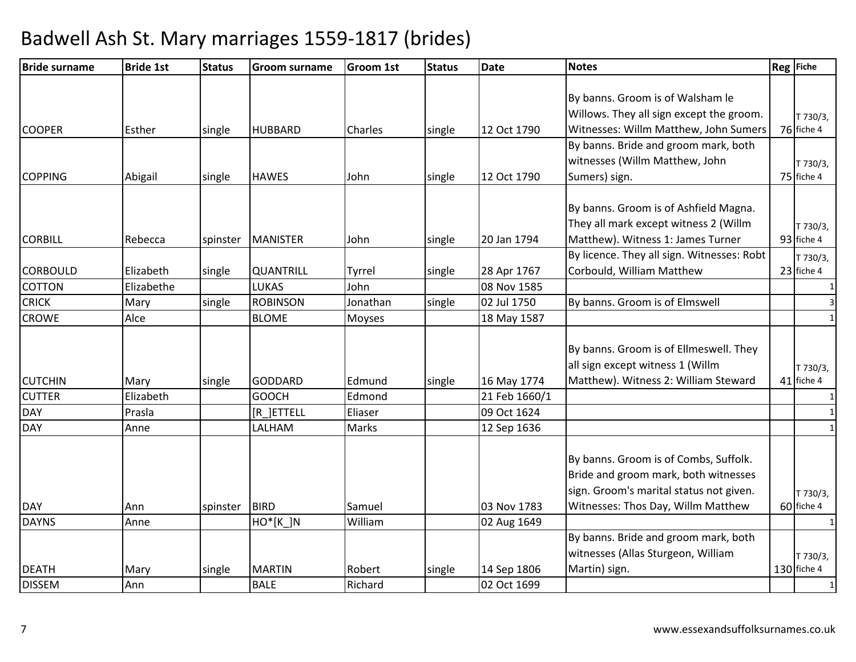| <b>Bride surname</b> | <b>Bride 1st</b> | <b>Status</b> | <b>Groom surname</b> | <b>Groom 1st</b> | <b>Status</b> | <b>Date</b>   | <b>Notes</b>                               | Reg Fiche    |
|----------------------|------------------|---------------|----------------------|------------------|---------------|---------------|--------------------------------------------|--------------|
|                      |                  |               |                      |                  |               |               |                                            |              |
|                      |                  |               |                      |                  |               |               | By banns. Groom is of Walsham le           |              |
|                      |                  |               |                      |                  |               |               | Willows. They all sign except the groom.   | T 730/3,     |
| <b>COOPER</b>        | Esther           | single        | <b>HUBBARD</b>       | Charles          | single        | 12 Oct 1790   | Witnesses: Willm Matthew, John Sumers      | 76 fiche 4   |
|                      |                  |               |                      |                  |               |               | By banns. Bride and groom mark, both       |              |
|                      |                  |               |                      |                  |               |               | witnesses (Willm Matthew, John             | T 730/3,     |
| <b>COPPING</b>       | Abigail          | single        | <b>HAWES</b>         | John             | single        | 12 Oct 1790   | Sumers) sign.                              | 75 fiche 4   |
|                      |                  |               |                      |                  |               |               | By banns. Groom is of Ashfield Magna.      |              |
|                      |                  |               |                      |                  |               |               | They all mark except witness 2 (Willm      | T 730/3,     |
| <b>CORBILL</b>       | Rebecca          | spinster      | <b>MANISTER</b>      | John             | single        | 20 Jan 1794   | Matthew). Witness 1: James Turner          | 93 fiche 4   |
|                      |                  |               |                      |                  |               |               | By licence. They all sign. Witnesses: Robt | T 730/3,     |
| <b>CORBOULD</b>      | Elizabeth        | single        | QUANTRILL            | Tyrrel           | single        | 28 Apr 1767   | Corbould, William Matthew                  | 23 fiche 4   |
| COTTON               | Elizabethe       |               | LUKAS                | John             |               | 08 Nov 1585   |                                            | $\mathbf{1}$ |
| <b>CRICK</b>         | Mary             | single        | <b>ROBINSON</b>      | Jonathan         | single        | 02 Jul 1750   | By banns. Groom is of Elmswell             | 3            |
| <b>CROWE</b>         | Alce             |               | <b>BLOME</b>         | <b>Moyses</b>    |               | 18 May 1587   |                                            | $\mathbf{1}$ |
|                      |                  |               |                      |                  |               |               |                                            |              |
|                      |                  |               |                      |                  |               |               | By banns. Groom is of Ellmeswell. They     |              |
|                      |                  |               |                      |                  |               |               | all sign except witness 1 (Willm           | T 730/3,     |
| <b>CUTCHIN</b>       | Mary             | single        | <b>GODDARD</b>       | Edmund           | single        | 16 May 1774   | Matthew). Witness 2: William Steward       | 41 fiche 4   |
| <b>CUTTER</b>        | Elizabeth        |               | <b>GOOCH</b>         | Edmond           |               | 21 Feb 1660/1 |                                            | 1            |
| <b>DAY</b>           | Prasla           |               | [R_]ETTELL           | Eliaser          |               | 09 Oct 1624   |                                            |              |
| <b>DAY</b>           | Anne             |               | LALHAM               | Marks            |               | 12 Sep 1636   |                                            |              |
|                      |                  |               |                      |                  |               |               | By banns. Groom is of Combs, Suffolk.      |              |
|                      |                  |               |                      |                  |               |               | Bride and groom mark, both witnesses       |              |
|                      |                  |               |                      |                  |               |               | sign. Groom's marital status not given.    | T 730/3,     |
| <b>DAY</b>           | Ann              | spinster      | <b>BIRD</b>          | Samuel           |               | 03 Nov 1783   | Witnesses: Thos Day, Willm Matthew         | 60 fiche 4   |
| <b>DAYNS</b>         | Anne             |               | $HO^*[K]N$           | William          |               | 02 Aug 1649   |                                            | 1            |
|                      |                  |               |                      |                  |               |               | By banns. Bride and groom mark, both       |              |
|                      |                  |               |                      |                  |               |               | witnesses (Allas Sturgeon, William         | T 730/3,     |
| <b>DEATH</b>         | Mary             | single        | <b>MARTIN</b>        | Robert           | single        | 14 Sep 1806   | Martin) sign.                              | 130 fiche 4  |
| <b>DISSEM</b>        | Ann              |               | <b>BALE</b>          | Richard          |               | 02 Oct 1699   |                                            |              |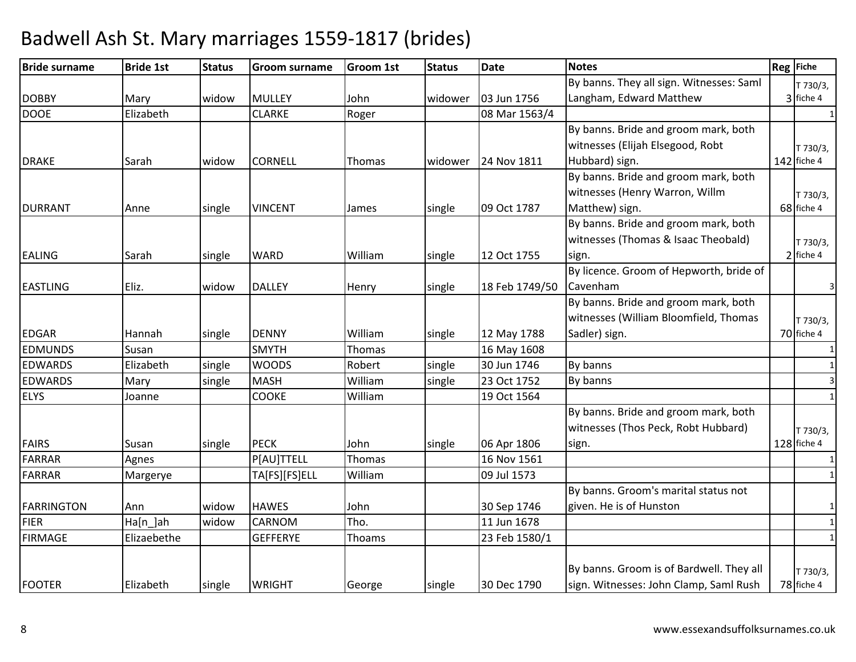| <b>Bride surname</b> | <b>Bride 1st</b> | <b>Status</b> | <b>Groom surname</b> | <b>Groom 1st</b> | <b>Status</b> | <b>Date</b>    | <b>Notes</b>                             | <b>Reg</b> Fiche |
|----------------------|------------------|---------------|----------------------|------------------|---------------|----------------|------------------------------------------|------------------|
|                      |                  |               |                      |                  |               |                | By banns. They all sign. Witnesses: Saml | T 730/3,         |
| <b>DOBBY</b>         | Mary             | widow         | <b>MULLEY</b>        | John             | widower       | 03 Jun 1756    | Langham, Edward Matthew                  | 3 fiche 4        |
| <b>DOOE</b>          | Elizabeth        |               | <b>CLARKE</b>        | Roger            |               | 08 Mar 1563/4  |                                          | $\overline{1}$   |
|                      |                  |               |                      |                  |               |                | By banns. Bride and groom mark, both     |                  |
|                      |                  |               |                      |                  |               |                | witnesses (Elijah Elsegood, Robt         | T 730/3,         |
| <b>DRAKE</b>         | Sarah            | widow         | <b>CORNELL</b>       | Thomas           | widower       | 24 Nov 1811    | Hubbard) sign.                           | 142 fiche 4      |
|                      |                  |               |                      |                  |               |                | By banns. Bride and groom mark, both     |                  |
|                      |                  |               |                      |                  |               |                | witnesses (Henry Warron, Willm           | T 730/3,         |
| <b>DURRANT</b>       | Anne             | single        | <b>VINCENT</b>       | James            | single        | 09 Oct 1787    | Matthew) sign.                           | 68 fiche 4       |
|                      |                  |               |                      |                  |               |                | By banns. Bride and groom mark, both     |                  |
|                      |                  |               |                      |                  |               |                | witnesses (Thomas & Isaac Theobald)      | T 730/3,         |
| <b>EALING</b>        | Sarah            | single        | <b>WARD</b>          | William          | single        | 12 Oct 1755    | sign.                                    | $2$ fiche 4      |
|                      |                  |               |                      |                  |               |                | By licence. Groom of Hepworth, bride of  |                  |
| <b>EASTLING</b>      | Eliz.            | widow         | <b>DALLEY</b>        | Henry            | single        | 18 Feb 1749/50 | Cavenham                                 | 3                |
|                      |                  |               |                      |                  |               |                | By banns. Bride and groom mark, both     |                  |
|                      |                  |               |                      |                  |               |                | witnesses (William Bloomfield, Thomas    | T 730/3,         |
| <b>EDGAR</b>         | Hannah           | single        | <b>DENNY</b>         | William          | single        | 12 May 1788    | Sadler) sign.                            | 70 fiche 4       |
| <b>EDMUNDS</b>       | Susan            |               | <b>SMYTH</b>         | Thomas           |               | 16 May 1608    |                                          | $\mathbf{1}$     |
| <b>EDWARDS</b>       | Elizabeth        | single        | <b>WOODS</b>         | Robert           | single        | 30 Jun 1746    | By banns                                 | $\mathbf{1}$     |
| <b>EDWARDS</b>       | Mary             | single        | <b>MASH</b>          | William          | single        | 23 Oct 1752    | By banns                                 | $\overline{3}$   |
| <b>ELYS</b>          | Joanne           |               | <b>COOKE</b>         | William          |               | 19 Oct 1564    |                                          | $\mathbf{1}$     |
|                      |                  |               |                      |                  |               |                | By banns. Bride and groom mark, both     |                  |
|                      |                  |               |                      |                  |               |                | witnesses (Thos Peck, Robt Hubbard)      | T 730/3,         |
| <b>FAIRS</b>         | Susan            | single        | <b>PECK</b>          | John             | single        | 06 Apr 1806    | sign.                                    | $128$ fiche 4    |
| <b>FARRAR</b>        | Agnes            |               | P[AU]TTELL           | Thomas           |               | 16 Nov 1561    |                                          | 1                |
| <b>FARRAR</b>        | Margerye         |               | TA[FS][FS]ELL        | William          |               | 09 Jul 1573    |                                          | $\mathbf{1}$     |
|                      |                  |               |                      |                  |               |                | By banns. Groom's marital status not     |                  |
| <b>FARRINGTON</b>    | Ann              | widow         | <b>HAWES</b>         | John             |               | 30 Sep 1746    | given. He is of Hunston                  | $\mathbf{1}$     |
| <b>FIER</b>          | Ha[n_]ah         | widow         | CARNOM               | Tho.             |               | 11 Jun 1678    |                                          | $\mathbf{1}$     |
| <b>FIRMAGE</b>       | Elizaebethe      |               | <b>GEFFERYE</b>      | <b>Thoams</b>    |               | 23 Feb 1580/1  |                                          | $\mathbf{1}$     |
|                      |                  |               |                      |                  |               |                |                                          |                  |
|                      |                  |               |                      |                  |               |                | By banns. Groom is of Bardwell. They all | T 730/3,         |
| <b>FOOTER</b>        | Elizabeth        | single        | <b>WRIGHT</b>        | George           | single        | 30 Dec 1790    | sign. Witnesses: John Clamp, Saml Rush   | 78 fiche 4       |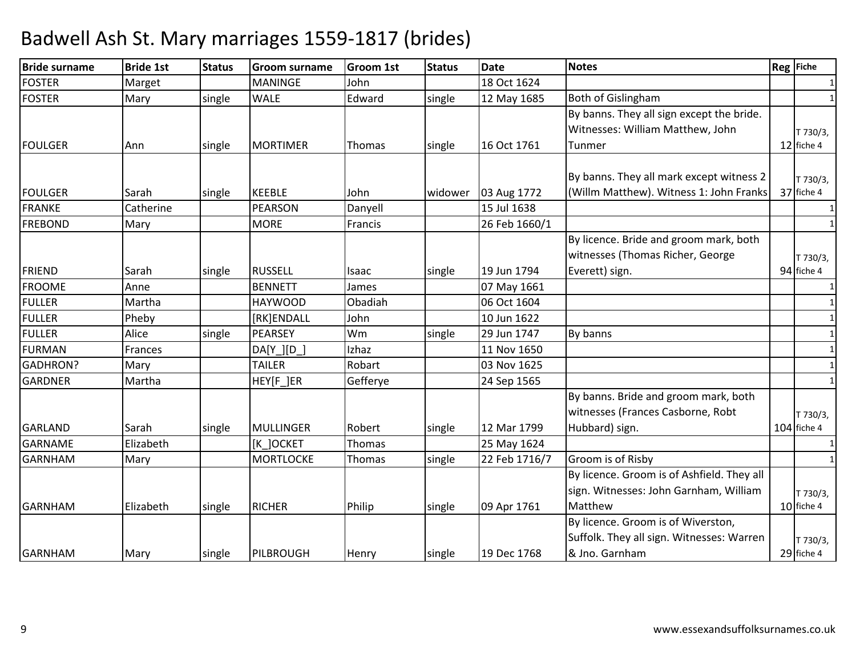| <b>Bride surname</b> | <b>Bride 1st</b> | <b>Status</b> | <b>Groom surname</b> | <b>Groom 1st</b> | <b>Status</b> | <b>Date</b>   | <b>Notes</b>                                                                                      | Reg Fiche               |
|----------------------|------------------|---------------|----------------------|------------------|---------------|---------------|---------------------------------------------------------------------------------------------------|-------------------------|
| <b>FOSTER</b>        | Marget           |               | <b>MANINGE</b>       | John             |               | 18 Oct 1624   |                                                                                                   | 1                       |
| <b>FOSTER</b>        | Mary             | single        | <b>WALE</b>          | Edward           | single        | 12 May 1685   | Both of Gislingham                                                                                | $\mathbf{1}$            |
| <b>FOULGER</b>       | Ann              | single        | <b>MORTIMER</b>      | Thomas           | single        | 16 Oct 1761   | By banns. They all sign except the bride.<br>Witnesses: William Matthew, John<br>Tunmer           | T 730/3,<br>12 fiche 4  |
|                      |                  |               |                      |                  |               |               | By banns. They all mark except witness 2                                                          | T 730/3,                |
| <b>FOULGER</b>       | Sarah            | single        | <b>KEEBLE</b>        | John             | widower       | 03 Aug 1772   | (Willm Matthew). Witness 1: John Franks                                                           | 37 fiche 4              |
| <b>FRANKE</b>        | Catherine        |               | PEARSON              | Danyell          |               | 15 Jul 1638   |                                                                                                   |                         |
| <b>FREBOND</b>       | Mary             |               | <b>MORE</b>          | <b>Francis</b>   |               | 26 Feb 1660/1 |                                                                                                   | 1                       |
| <b>FRIEND</b>        | Sarah            | single        | <b>RUSSELL</b>       | Isaac            | single        | 19 Jun 1794   | By licence. Bride and groom mark, both<br>witnesses (Thomas Richer, George<br>Everett) sign.      | T 730/3,<br>94 fiche 4  |
| <b>FROOME</b>        | Anne             |               | <b>BENNETT</b>       | James            |               | 07 May 1661   |                                                                                                   | $\mathbf{1}$            |
| <b>FULLER</b>        | Martha           |               | <b>HAYWOOD</b>       | Obadiah          |               | 06 Oct 1604   |                                                                                                   | $\mathbf{1}$            |
| <b>FULLER</b>        | Pheby            |               | [RK]ENDALL           | John             |               | 10 Jun 1622   |                                                                                                   | $\mathbf{1}$            |
| <b>FULLER</b>        | Alice            | single        | PEARSEY              | Wm               | single        | 29 Jun 1747   | By banns                                                                                          | $\mathbf{1}$            |
| <b>FURMAN</b>        | Frances          |               | DA[Y ][D             | Izhaz            |               | 11 Nov 1650   |                                                                                                   | $\mathbf{1}$            |
| GADHRON?             | Mary             |               | <b>TAILER</b>        | Robart           |               | 03 Nov 1625   |                                                                                                   | 1                       |
| <b>GARDNER</b>       | Martha           |               | HEY[F_]ER            | Gefferye         |               | 24 Sep 1565   |                                                                                                   | $\mathbf 1$             |
| <b>GARLAND</b>       | Sarah            | single        | <b>MULLINGER</b>     | Robert           | single        | 12 Mar 1799   | By banns. Bride and groom mark, both<br>witnesses (Frances Casborne, Robt<br>Hubbard) sign.       | T 730/3,<br>104 fiche 4 |
| <b>GARNAME</b>       | Elizabeth        |               | [K_]OCKET            | Thomas           |               | 25 May 1624   |                                                                                                   |                         |
| <b>GARNHAM</b>       | Mary             |               | <b>MORTLOCKE</b>     | Thomas           | single        | 22 Feb 1716/7 | Groom is of Risby                                                                                 |                         |
| <b>GARNHAM</b>       | Elizabeth        | single        | <b>RICHER</b>        | Philip           | single        | 09 Apr 1761   | By licence. Groom is of Ashfield. They all<br>sign. Witnesses: John Garnham, William<br>Matthew   | T 730/3,<br>10 fiche 4  |
| <b>GARNHAM</b>       | Mary             | single        | PILBROUGH            | Henry            | single        | 19 Dec 1768   | By licence. Groom is of Wiverston,<br>Suffolk. They all sign. Witnesses: Warren<br>& Jno. Garnham | T 730/3,<br>29 fiche 4  |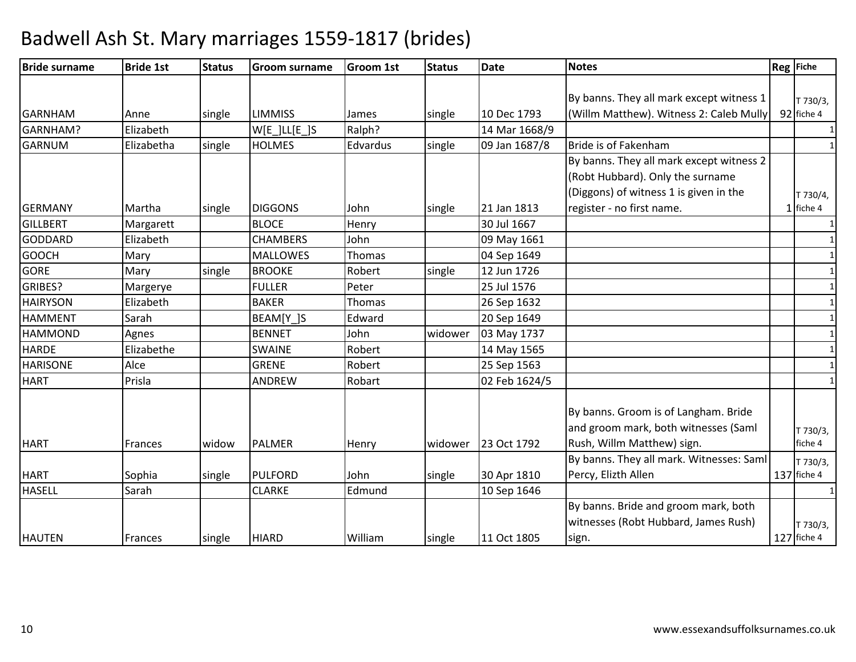| <b>Bride surname</b> | <b>Bride 1st</b> | <b>Status</b> | <b>Groom surname</b> | <b>Groom 1st</b> | <b>Status</b> | <b>Date</b>   | <b>Notes</b>                                                                 | Reg Fiche               |
|----------------------|------------------|---------------|----------------------|------------------|---------------|---------------|------------------------------------------------------------------------------|-------------------------|
|                      |                  |               |                      |                  |               |               |                                                                              |                         |
|                      |                  |               |                      |                  |               |               | By banns. They all mark except witness 1                                     | T 730/3,                |
| <b>GARNHAM</b>       | Anne             | single        | <b>LIMMISS</b>       | James            | single        | 10 Dec 1793   | (Willm Matthew). Witness 2: Caleb Mully                                      | 92 fiche 4              |
| GARNHAM?             | Elizabeth        |               | $W[E_$ ]LL $[E_$ ]S  | Ralph?           |               | 14 Mar 1668/9 |                                                                              | 1                       |
| <b>GARNUM</b>        | Elizabetha       | single        | <b>HOLMES</b>        | Edvardus         | single        | 09 Jan 1687/8 | Bride is of Fakenham                                                         | $\mathbf{1}$            |
|                      |                  |               |                      |                  |               |               | By banns. They all mark except witness 2<br>(Robt Hubbard). Only the surname |                         |
|                      |                  |               |                      |                  |               |               | (Diggons) of witness 1 is given in the                                       | T 730/4,                |
| <b>GERMANY</b>       | Martha           | single        | <b>DIGGONS</b>       | John             | single        | 21 Jan 1813   | register - no first name.                                                    | $1$ fiche 4             |
| <b>GILLBERT</b>      | Margarett        |               | <b>BLOCE</b>         | Henry            |               | 30 Jul 1667   |                                                                              | 1                       |
| <b>GODDARD</b>       | Elizabeth        |               | <b>CHAMBERS</b>      | John             |               | 09 May 1661   |                                                                              | $\mathbf{1}$            |
| <b>GOOCH</b>         | Mary             |               | <b>MALLOWES</b>      | Thomas           |               | 04 Sep 1649   |                                                                              | $\mathbf{1}$            |
| <b>GORE</b>          | Mary             | single        | <b>BROOKE</b>        | Robert           | single        | 12 Jun 1726   |                                                                              | $\mathbf{1}$            |
| GRIBES?              | Margerye         |               | <b>FULLER</b>        | Peter            |               | 25 Jul 1576   |                                                                              | $\mathbf{1}$            |
| <b>HAIRYSON</b>      | Elizabeth        |               | <b>BAKER</b>         | Thomas           |               | 26 Sep 1632   |                                                                              | $\mathbf{1}$            |
| <b>HAMMENT</b>       | Sarah            |               | BEAM[Y_]S            | Edward           |               | 20 Sep 1649   |                                                                              | $\mathbf{1}$            |
| <b>HAMMOND</b>       | Agnes            |               | <b>BENNET</b>        | John             | widower       | 03 May 1737   |                                                                              | 1                       |
| <b>HARDE</b>         | Elizabethe       |               | <b>SWAINE</b>        | Robert           |               | 14 May 1565   |                                                                              | $\mathbf{1}$            |
| <b>HARISONE</b>      | Alce             |               | <b>GRENE</b>         | Robert           |               | 25 Sep 1563   |                                                                              | $\mathbf{1}$            |
| <b>HART</b>          | Prisla           |               | <b>ANDREW</b>        | Robart           |               | 02 Feb 1624/5 |                                                                              | 1                       |
|                      |                  |               |                      |                  |               |               | By banns. Groom is of Langham. Bride<br>and groom mark, both witnesses (Saml |                         |
|                      |                  |               |                      |                  |               |               |                                                                              | T 730/3,                |
| <b>HART</b>          | Frances          | widow         | <b>PALMER</b>        | Henry            | widower       | 23 Oct 1792   | Rush, Willm Matthew) sign.                                                   | fiche 4                 |
|                      |                  |               | <b>PULFORD</b>       | John             |               |               | By banns. They all mark. Witnesses: Saml                                     | T 730/3,                |
| <b>HART</b>          | Sophia           | single        |                      |                  | single        | 30 Apr 1810   | Percy, Elizth Allen                                                          | 137 fiche 4             |
| <b>HASELL</b>        | Sarah            |               | <b>CLARKE</b>        | Edmund           |               | 10 Sep 1646   |                                                                              |                         |
|                      |                  |               |                      |                  |               |               | By banns. Bride and groom mark, both<br>witnesses (Robt Hubbard, James Rush) |                         |
| <b>HAUTEN</b>        | Frances          | single        | <b>HIARD</b>         | William          | single        | 11 Oct 1805   | sign.                                                                        | T 730/3,<br>127 fiche 4 |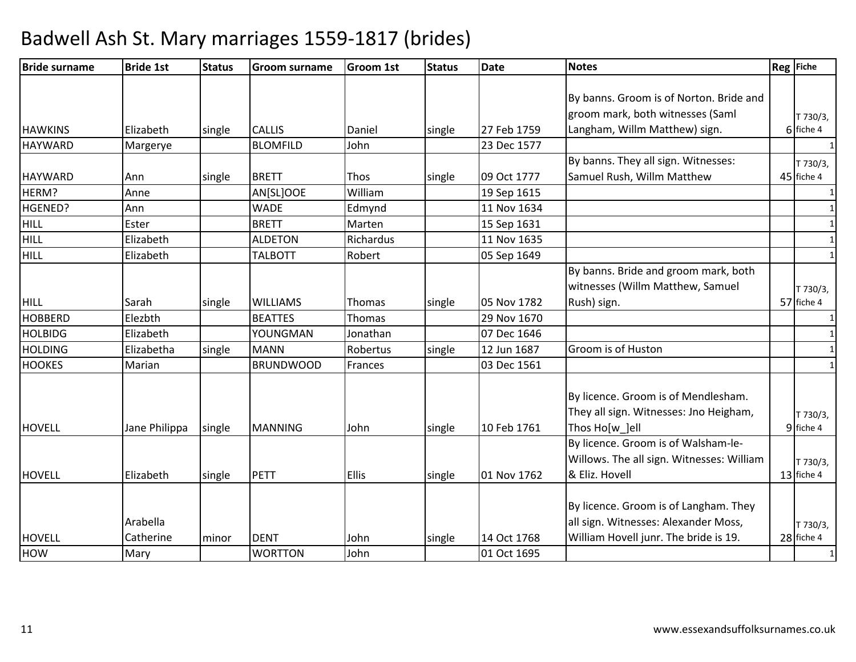| <b>Bride surname</b>    | <b>Bride 1st</b> | <b>Status</b> | <b>Groom surname</b> | <b>Groom 1st</b> | <b>Status</b> | <b>Date</b> | <b>Notes</b>                                                      | Reg Fiche              |
|-------------------------|------------------|---------------|----------------------|------------------|---------------|-------------|-------------------------------------------------------------------|------------------------|
|                         |                  |               |                      |                  |               |             |                                                                   |                        |
|                         |                  |               |                      |                  |               |             | By banns. Groom is of Norton. Bride and                           |                        |
| <b>HAWKINS</b>          | Elizabeth        |               | <b>CALLIS</b>        |                  |               | 27 Feb 1759 | groom mark, both witnesses (Saml<br>Langham, Willm Matthew) sign. | T 730/3,<br>6 fiche 4  |
| <b>HAYWARD</b>          |                  | single        | <b>BLOMFILD</b>      | Daniel<br>John   | single        | 23 Dec 1577 |                                                                   |                        |
|                         | Margerye         |               |                      |                  |               |             | By banns. They all sign. Witnesses:                               | $\mathbf{1}$           |
|                         |                  |               | <b>BRETT</b>         | Thos             |               | 09 Oct 1777 | Samuel Rush, Willm Matthew                                        | T 730/3,<br>45 fiche 4 |
| <b>HAYWARD</b><br>HERM? | Ann              | single        |                      | William          | single        |             |                                                                   |                        |
|                         | Anne             |               | AN[SL]OOE            |                  |               | 19 Sep 1615 |                                                                   | $\mathbf{1}$           |
| HGENED?                 | Ann              |               | <b>WADE</b>          | Edmynd           |               | 11 Nov 1634 |                                                                   | 1                      |
| <b>HILL</b>             | Ester            |               | <b>BRETT</b>         | Marten           |               | 15 Sep 1631 |                                                                   | $\mathbf{1}$           |
| <b>HILL</b>             | Elizabeth        |               | <b>ALDETON</b>       | Richardus        |               | 11 Nov 1635 |                                                                   | $\mathbf{1}$           |
| <b>HILL</b>             | Elizabeth        |               | <b>TALBOTT</b>       | Robert           |               | 05 Sep 1649 |                                                                   | $\mathbf{1}$           |
|                         |                  |               |                      |                  |               |             | By banns. Bride and groom mark, both                              |                        |
|                         |                  |               |                      |                  |               |             | witnesses (Willm Matthew, Samuel                                  | T 730/3,               |
| <b>HILL</b>             | Sarah            | single        | <b>WILLIAMS</b>      | Thomas           | single        | 05 Nov 1782 | Rush) sign.                                                       | 57 fiche 4             |
| <b>HOBBERD</b>          | Elezbth          |               | <b>BEATTES</b>       | Thomas           |               | 29 Nov 1670 |                                                                   |                        |
| <b>HOLBIDG</b>          | Elizabeth        |               | YOUNGMAN             | Jonathan         |               | 07 Dec 1646 |                                                                   | $\mathbf{1}$           |
| <b>HOLDING</b>          | Elizabetha       | single        | <b>MANN</b>          | Robertus         | single        | 12 Jun 1687 | Groom is of Huston                                                | $\mathbf{1}$           |
| <b>HOOKES</b>           | Marian           |               | <b>BRUNDWOOD</b>     | Frances          |               | 03 Dec 1561 |                                                                   | $\mathbf{1}$           |
|                         |                  |               |                      |                  |               |             | By licence. Groom is of Mendlesham.                               |                        |
|                         |                  |               |                      |                  |               |             | They all sign. Witnesses: Jno Heigham,                            | T 730/3,               |
| <b>HOVELL</b>           | Jane Philippa    | single        | <b>MANNING</b>       | John             | single        | 10 Feb 1761 | Thos Ho[w_]ell                                                    | 9 fiche 4              |
|                         |                  |               |                      |                  |               |             | By licence. Groom is of Walsham-le-                               |                        |
|                         |                  |               |                      |                  |               |             | Willows. The all sign. Witnesses: William                         |                        |
| <b>HOVELL</b>           | Elizabeth        | single        | PETT                 | <b>Ellis</b>     | single        | 01 Nov 1762 | & Eliz. Hovell                                                    | T 730/3,<br>13 fiche 4 |
|                         |                  |               |                      |                  |               |             |                                                                   |                        |
|                         |                  |               |                      |                  |               |             | By licence. Groom is of Langham. They                             |                        |
|                         | Arabella         |               |                      |                  |               |             | all sign. Witnesses: Alexander Moss,                              |                        |
| <b>HOVELL</b>           | Catherine        |               | <b>DENT</b>          | John             |               | 14 Oct 1768 | William Hovell junr. The bride is 19.                             | T 730/3,<br>28 fiche 4 |
|                         |                  | minor         |                      | John             | single        | 01 Oct 1695 |                                                                   |                        |
| <b>HOW</b>              | Mary             |               | <b>WORTTON</b>       |                  |               |             |                                                                   |                        |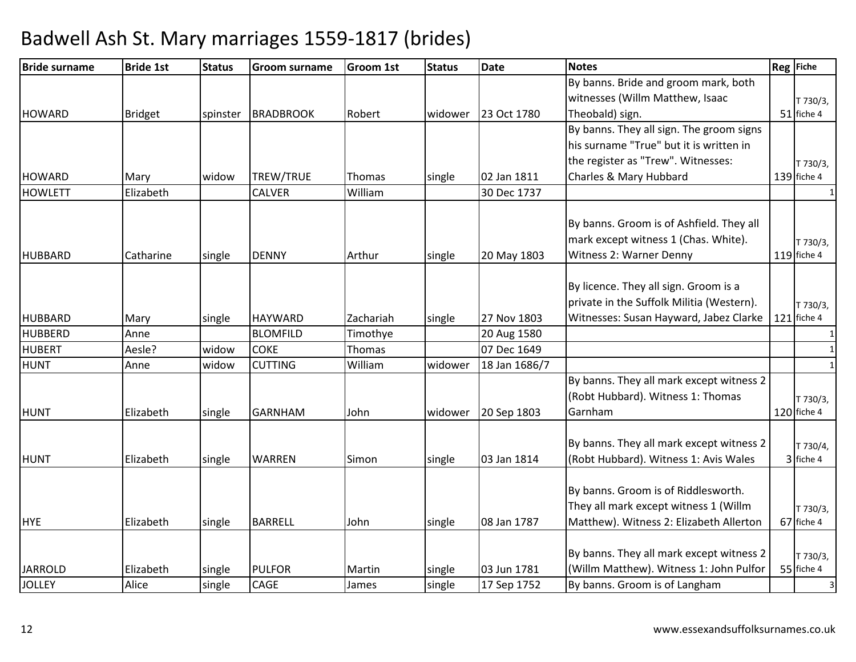| <b>Bride surname</b>            | <b>Bride 1st</b>   | <b>Status</b> | <b>Groom surname</b>  | <b>Groom 1st</b> | <b>Status</b> | <b>Date</b>   | <b>Notes</b>                              | <b>Reg</b> Fiche             |
|---------------------------------|--------------------|---------------|-----------------------|------------------|---------------|---------------|-------------------------------------------|------------------------------|
|                                 |                    |               |                       |                  |               |               | By banns. Bride and groom mark, both      |                              |
|                                 |                    |               |                       |                  |               |               | witnesses (Willm Matthew, Isaac           | T 730/3,                     |
| <b>HOWARD</b>                   | <b>Bridget</b>     | spinster      | <b>BRADBROOK</b>      | Robert           | widower       | 23 Oct 1780   | Theobald) sign.                           | 51 fiche 4                   |
|                                 |                    |               |                       |                  |               |               | By banns. They all sign. The groom signs  |                              |
|                                 |                    |               |                       |                  |               |               | his surname "True" but it is written in   |                              |
|                                 |                    |               |                       |                  |               |               | the register as "Trew". Witnesses:        | T 730/3,                     |
| <b>HOWARD</b>                   | Mary               | widow         | TREW/TRUE             | Thomas           | single        | 02 Jan 1811   | Charles & Mary Hubbard                    | 139 fiche 4                  |
| <b>HOWLETT</b>                  | Elizabeth          |               | <b>CALVER</b>         | William          |               | 30 Dec 1737   |                                           | $\mathbf{1}$                 |
|                                 |                    |               |                       |                  |               |               | By banns. Groom is of Ashfield. They all  |                              |
|                                 |                    |               |                       |                  |               |               | mark except witness 1 (Chas. White).      | T 730/3,                     |
| <b>HUBBARD</b>                  | Catharine          | single        | <b>DENNY</b>          | Arthur           | single        | 20 May 1803   | Witness 2: Warner Denny                   | 119 fiche 4                  |
|                                 |                    |               |                       |                  |               |               |                                           |                              |
|                                 |                    |               |                       |                  |               |               | By licence. They all sign. Groom is a     |                              |
|                                 |                    |               |                       |                  |               |               | private in the Suffolk Militia (Western). | T 730/3,                     |
| <b>HUBBARD</b>                  | Mary               | single        | <b>HAYWARD</b>        | Zachariah        | single        | 27 Nov 1803   | Witnesses: Susan Hayward, Jabez Clarke    | $121$ fiche 4                |
| <b>HUBBERD</b>                  | Anne               |               | <b>BLOMFILD</b>       | Timothye         |               | 20 Aug 1580   |                                           | 1                            |
| <b>HUBERT</b>                   | Aesle?             | widow         | <b>COKE</b>           | Thomas           |               | 07 Dec 1649   |                                           | $\mathbf{1}$                 |
| <b>HUNT</b>                     | Anne               | widow         | <b>CUTTING</b>        | William          | widower       | 18 Jan 1686/7 |                                           | $\mathbf{1}$                 |
|                                 |                    |               |                       |                  |               |               | By banns. They all mark except witness 2  |                              |
|                                 |                    |               |                       |                  |               |               | (Robt Hubbard). Witness 1: Thomas         | T 730/3,                     |
| <b>HUNT</b>                     | Elizabeth          | single        | <b>GARNHAM</b>        | John             | widower       | 20 Sep 1803   | Garnham                                   | 120 fiche 4                  |
|                                 |                    |               |                       |                  |               |               |                                           |                              |
|                                 |                    |               |                       |                  |               |               | By banns. They all mark except witness 2  | T 730/4,                     |
| <b>HUNT</b>                     | Elizabeth          | single        | <b>WARREN</b>         | Simon            | single        | 03 Jan 1814   | (Robt Hubbard). Witness 1: Avis Wales     | 3 fiche 4                    |
|                                 |                    |               |                       |                  |               |               |                                           |                              |
|                                 |                    |               |                       |                  |               |               | By banns. Groom is of Riddlesworth.       |                              |
|                                 |                    |               |                       |                  |               |               | They all mark except witness 1 (Willm     | T 730/3,                     |
| <b>HYE</b>                      | Elizabeth          | single        | <b>BARRELL</b>        | John             | single        | 08 Jan 1787   | Matthew). Witness 2: Elizabeth Allerton   | 67 fiche 4                   |
|                                 |                    |               |                       |                  |               |               |                                           |                              |
|                                 |                    |               |                       |                  |               |               | By banns. They all mark except witness 2  | T 730/3,                     |
| <b>JARROLD</b><br><b>JOLLEY</b> | Elizabeth<br>Alice | single        | <b>PULFOR</b><br>CAGE | Martin           | single        | 03 Jun 1781   | (Willm Matthew). Witness 1: John Pulfor   | 55 fiche 4<br>$\overline{3}$ |
|                                 |                    | single        |                       | James            | single        | 17 Sep 1752   | By banns. Groom is of Langham             |                              |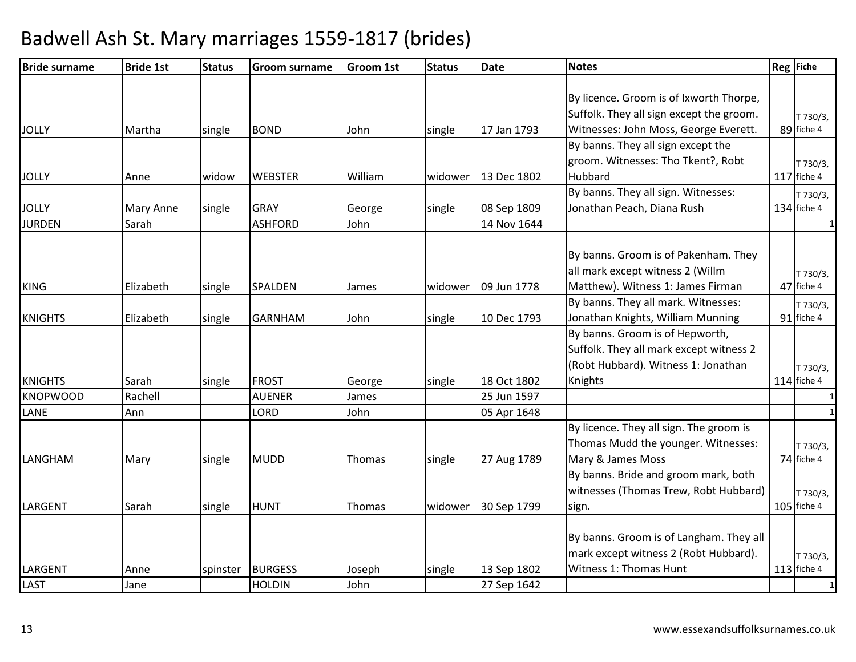| <b>Bride surname</b> | <b>Bride 1st</b> | <b>Status</b> | <b>Groom surname</b> | <b>Groom 1st</b> | <b>Status</b> | <b>Date</b> | <b>Notes</b>                             | Reg Fiche     |
|----------------------|------------------|---------------|----------------------|------------------|---------------|-------------|------------------------------------------|---------------|
|                      |                  |               |                      |                  |               |             |                                          |               |
|                      |                  |               |                      |                  |               |             | By licence. Groom is of Ixworth Thorpe,  |               |
|                      |                  |               |                      |                  |               |             | Suffolk. They all sign except the groom. | T 730/3,      |
| <b>JOLLY</b>         | Martha           | single        | <b>BOND</b>          | John             | single        | 17 Jan 1793 | Witnesses: John Moss, George Everett.    | 89 fiche 4    |
|                      |                  |               |                      |                  |               |             | By banns. They all sign except the       |               |
|                      |                  |               |                      |                  |               |             | groom. Witnesses: Tho Tkent?, Robt       | T 730/3,      |
| <b>JOLLY</b>         | Anne             | widow         | <b>WEBSTER</b>       | William          | widower       | 13 Dec 1802 | Hubbard                                  | 117 fiche 4   |
|                      |                  |               |                      |                  |               |             | By banns. They all sign. Witnesses:      | T 730/3,      |
| <b>JOLLY</b>         | <b>Mary Anne</b> | single        | <b>GRAY</b>          | George           | single        | 08 Sep 1809 | Jonathan Peach, Diana Rush               | $134$ fiche 4 |
| <b>JURDEN</b>        | Sarah            |               | <b>ASHFORD</b>       | John             |               | 14 Nov 1644 |                                          |               |
|                      |                  |               |                      |                  |               |             |                                          |               |
|                      |                  |               |                      |                  |               |             | By banns. Groom is of Pakenham. They     |               |
|                      |                  |               |                      |                  |               |             | all mark except witness 2 (Willm         | T 730/3,      |
| <b>KING</b>          | Elizabeth        | single        | SPALDEN              | James            | widower       | 09 Jun 1778 | Matthew). Witness 1: James Firman        | 47 fiche 4    |
|                      |                  |               |                      |                  |               |             | By banns. They all mark. Witnesses:      | T 730/3,      |
| <b>KNIGHTS</b>       | Elizabeth        | single        | <b>GARNHAM</b>       | John             | single        | 10 Dec 1793 | Jonathan Knights, William Munning        | 91 fiche 4    |
|                      |                  |               |                      |                  |               |             | By banns. Groom is of Hepworth,          |               |
|                      |                  |               |                      |                  |               |             | Suffolk. They all mark except witness 2  |               |
|                      |                  |               |                      |                  |               |             | (Robt Hubbard). Witness 1: Jonathan      | T 730/3,      |
| <b>KNIGHTS</b>       | Sarah            | single        | <b>FROST</b>         | George           | single        | 18 Oct 1802 | Knights                                  | $114$ fiche 4 |
| <b>KNOPWOOD</b>      | Rachell          |               | <b>AUENER</b>        | James            |               | 25 Jun 1597 |                                          |               |
| LANE                 | Ann              |               | LORD                 | John             |               | 05 Apr 1648 |                                          |               |
|                      |                  |               |                      |                  |               |             | By licence. They all sign. The groom is  |               |
|                      |                  |               |                      |                  |               |             | Thomas Mudd the younger. Witnesses:      | T 730/3,      |
| LANGHAM              | Mary             | single        | <b>MUDD</b>          | Thomas           | single        | 27 Aug 1789 | Mary & James Moss                        | 74 fiche 4    |
|                      |                  |               |                      |                  |               |             | By banns. Bride and groom mark, both     |               |
|                      |                  |               |                      |                  |               |             | witnesses (Thomas Trew, Robt Hubbard)    | T 730/3,      |
| LARGENT              | Sarah            | single        | <b>HUNT</b>          | Thomas           | widower       | 30 Sep 1799 | sign.                                    | 105 fiche 4   |
|                      |                  |               |                      |                  |               |             |                                          |               |
|                      |                  |               |                      |                  |               |             | By banns. Groom is of Langham. They all  |               |
|                      |                  |               |                      |                  |               |             | mark except witness 2 (Robt Hubbard).    | T 730/3,      |
| LARGENT              | Anne             | spinster      | <b>BURGESS</b>       | Joseph           | single        | 13 Sep 1802 | Witness 1: Thomas Hunt                   | 113 fiche 4   |
| <b>LAST</b>          | Jane             |               | <b>HOLDIN</b>        | John             |               | 27 Sep 1642 |                                          | $\mathbf{1}$  |
|                      |                  |               |                      |                  |               |             |                                          |               |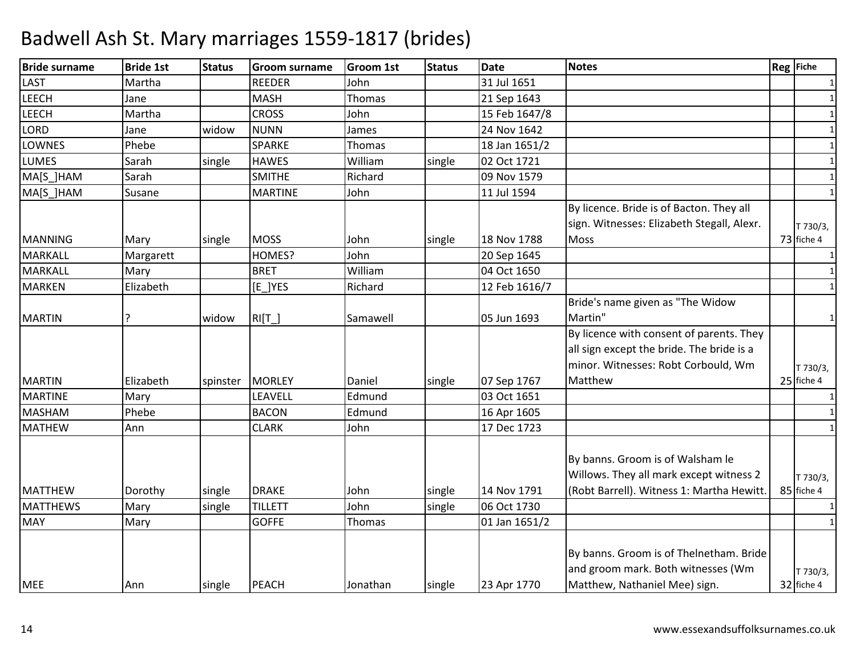| <b>Bride surname</b> | <b>Bride 1st</b> | <b>Status</b> | <b>Groom surname</b> | <b>Groom 1st</b> | <b>Status</b> | <b>Date</b>   | <b>Notes</b>                               | Reg Fiche    |
|----------------------|------------------|---------------|----------------------|------------------|---------------|---------------|--------------------------------------------|--------------|
| <b>LAST</b>          | Martha           |               | <b>REEDER</b>        | John             |               | 31 Jul 1651   |                                            | 1            |
| <b>LEECH</b>         | Jane             |               | <b>MASH</b>          | Thomas           |               | 21 Sep 1643   |                                            | $\mathbf{1}$ |
| <b>LEECH</b>         | Martha           |               | <b>CROSS</b>         | John             |               | 15 Feb 1647/8 |                                            | $\mathbf{1}$ |
| <b>LORD</b>          | Jane             | widow         | <b>NUNN</b>          | James            |               | 24 Nov 1642   |                                            | $\mathbf{1}$ |
| <b>LOWNES</b>        | Phebe            |               | SPARKE               | Thomas           |               | 18 Jan 1651/2 |                                            | $\mathbf{1}$ |
| <b>LUMES</b>         | Sarah            | single        | <b>HAWES</b>         | William          | single        | 02 Oct 1721   |                                            | 1            |
| MA[S_]HAM            | Sarah            |               | <b>SMITHE</b>        | Richard          |               | 09 Nov 1579   |                                            | $\mathbf{1}$ |
| MA[S_]HAM            | Susane           |               | <b>MARTINE</b>       | John             |               | 11 Jul 1594   |                                            | $\mathbf{1}$ |
|                      |                  |               |                      |                  |               |               | By licence. Bride is of Bacton. They all   |              |
|                      |                  |               |                      |                  |               |               | sign. Witnesses: Elizabeth Stegall, Alexr. | T 730/3,     |
| <b>MANNING</b>       | Mary             | single        | <b>MOSS</b>          | John             | single        | 18 Nov 1788   | Moss                                       | 73 fiche 4   |
| <b>MARKALL</b>       | Margarett        |               | HOMES?               | John             |               | 20 Sep 1645   |                                            | $\mathbf{1}$ |
| <b>MARKALL</b>       | Mary             |               | <b>BRET</b>          | William          |               | 04 Oct 1650   |                                            | $\mathbf{1}$ |
| <b>MARKEN</b>        | Elizabeth        |               | $[E_]$ YES           | Richard          |               | 12 Feb 1616/7 |                                            | 1            |
|                      |                  |               |                      |                  |               |               | Bride's name given as "The Widow           |              |
| <b>MARTIN</b>        |                  | widow         | $RI[T_$              | Samawell         |               | 05 Jun 1693   | Martin"                                    | 1            |
|                      |                  |               |                      |                  |               |               | By licence with consent of parents. They   |              |
|                      |                  |               |                      |                  |               |               | all sign except the bride. The bride is a  |              |
|                      |                  |               |                      |                  |               |               | minor. Witnesses: Robt Corbould, Wm        | T 730/3,     |
| <b>MARTIN</b>        | Elizabeth        | spinster      | <b>MORLEY</b>        | Daniel           | single        | 07 Sep 1767   | Matthew                                    | 25 fiche 4   |
| <b>MARTINE</b>       | Mary             |               | LEAVELL              | Edmund           |               | 03 Oct 1651   |                                            | 1            |
| <b>MASHAM</b>        | Phebe            |               | <b>BACON</b>         | Edmund           |               | 16 Apr 1605   |                                            | $\mathbf{1}$ |
| <b>MATHEW</b>        | Ann              |               | <b>CLARK</b>         | John             |               | 17 Dec 1723   |                                            | $\mathbf{1}$ |
|                      |                  |               |                      |                  |               |               |                                            |              |
|                      |                  |               |                      |                  |               |               | By banns. Groom is of Walsham le           |              |
|                      |                  |               |                      |                  |               |               | Willows. They all mark except witness 2    | T 730/3,     |
| <b>MATTHEW</b>       | Dorothy          | single        | <b>DRAKE</b>         | John             | single        | 14 Nov 1791   | (Robt Barrell). Witness 1: Martha Hewitt.  | 85 fiche 4   |
| <b>MATTHEWS</b>      | Mary             | single        | <b>TILLETT</b>       | John             | single        | 06 Oct 1730   |                                            | 1            |
| <b>MAY</b>           | Mary             |               | <b>GOFFE</b>         | Thomas           |               | 01 Jan 1651/2 |                                            | $\mathbf{1}$ |
|                      |                  |               |                      |                  |               |               |                                            |              |
|                      |                  |               |                      |                  |               |               | By banns. Groom is of Thelnetham. Bride    |              |
|                      |                  |               |                      |                  |               |               | and groom mark. Both witnesses (Wm         | T 730/3,     |
| <b>MEE</b>           | Ann              | single        | PEACH                | Jonathan         | single        | 23 Apr 1770   | Matthew, Nathaniel Mee) sign.              | 32 fiche 4   |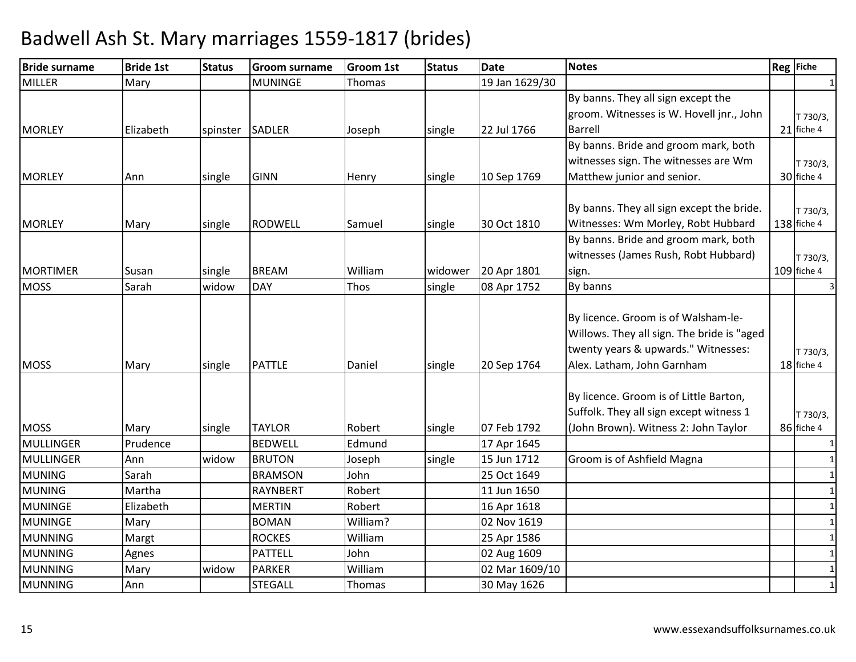| <b>Bride surname</b> | <b>Bride 1st</b> | <b>Status</b> | <b>Groom surname</b> | <b>Groom 1st</b> | <b>Status</b> | <b>Date</b>    | <b>Notes</b>                                                                      | Reg Fiche               |
|----------------------|------------------|---------------|----------------------|------------------|---------------|----------------|-----------------------------------------------------------------------------------|-------------------------|
| <b>MILLER</b>        | Mary             |               | <b>MUNINGE</b>       | Thomas           |               | 19 Jan 1629/30 |                                                                                   |                         |
|                      |                  |               |                      |                  |               |                | By banns. They all sign except the                                                |                         |
|                      |                  |               |                      |                  |               |                | groom. Witnesses is W. Hovell jnr., John                                          | T 730/3,                |
| <b>MORLEY</b>        | Elizabeth        | spinster      | <b>SADLER</b>        | Joseph           | single        | 22 Jul 1766    | <b>Barrell</b>                                                                    | 21 fiche 4              |
|                      |                  |               |                      |                  |               |                | By banns. Bride and groom mark, both                                              |                         |
|                      |                  |               |                      |                  |               |                | witnesses sign. The witnesses are Wm                                              | T 730/3,                |
| <b>MORLEY</b>        | Ann              | single        | <b>GINN</b>          | Henry            | single        | 10 Sep 1769    | Matthew junior and senior.                                                        | 30 fiche 4              |
|                      |                  |               |                      |                  |               |                |                                                                                   |                         |
|                      |                  |               |                      |                  |               |                | By banns. They all sign except the bride.                                         | T 730/3,                |
| <b>MORLEY</b>        | Mary             | single        | RODWELL              | Samuel           | single        | 30 Oct 1810    | Witnesses: Wm Morley, Robt Hubbard                                                | 138 fiche 4             |
|                      |                  |               |                      |                  |               |                | By banns. Bride and groom mark, both                                              |                         |
|                      |                  |               |                      |                  |               |                | witnesses (James Rush, Robt Hubbard)                                              | T 730/3,                |
| <b>MORTIMER</b>      | Susan            | single        | <b>BREAM</b>         | William          | widower       | 20 Apr 1801    | sign.                                                                             | 109 fiche 4             |
| <b>MOSS</b>          | Sarah            | widow         | <b>DAY</b>           | Thos             | single        | 08 Apr 1752    | By banns                                                                          | $\overline{\mathbf{3}}$ |
|                      |                  |               |                      |                  |               |                |                                                                                   |                         |
|                      |                  |               |                      |                  |               |                | By licence. Groom is of Walsham-le-<br>Willows. They all sign. The bride is "aged |                         |
|                      |                  |               |                      |                  |               |                | twenty years & upwards." Witnesses:                                               |                         |
| <b>MOSS</b>          |                  |               | <b>PATTLE</b>        | Daniel           |               |                |                                                                                   | T 730/3,<br>18 fiche 4  |
|                      | Mary             | single        |                      |                  | single        | 20 Sep 1764    | Alex. Latham, John Garnham                                                        |                         |
|                      |                  |               |                      |                  |               |                |                                                                                   |                         |
|                      |                  |               |                      |                  |               |                | By licence. Groom is of Little Barton,<br>Suffolk. They all sign except witness 1 |                         |
| <b>MOSS</b>          |                  |               | <b>TAYLOR</b>        | Robert           |               | 07 Feb 1792    | (John Brown). Witness 2: John Taylor                                              | T 730/3,<br>86 fiche 4  |
| <b>MULLINGER</b>     | Mary<br>Prudence | single        | <b>BEDWELL</b>       | Edmund           | single        | 17 Apr 1645    |                                                                                   |                         |
| <b>MULLINGER</b>     | Ann              | widow         | <b>BRUTON</b>        |                  |               | 15 Jun 1712    | Groom is of Ashfield Magna                                                        | $\mathbf{1}$<br>1       |
| <b>MUNING</b>        | Sarah            |               | <b>BRAMSON</b>       | Joseph<br>John   | single        | 25 Oct 1649    |                                                                                   | $\mathbf{1}$            |
| <b>MUNING</b>        | Martha           |               | <b>RAYNBERT</b>      | Robert           |               | 11 Jun 1650    |                                                                                   | 1                       |
| <b>MUNINGE</b>       | Elizabeth        |               | <b>MERTIN</b>        | Robert           |               | 16 Apr 1618    |                                                                                   | $\mathbf{1}$            |
| <b>MUNINGE</b>       | Mary             |               | <b>BOMAN</b>         | William?         |               | 02 Nov 1619    |                                                                                   | $\mathbf{1}$            |
| <b>MUNNING</b>       |                  |               | <b>ROCKES</b>        | William          |               | 25 Apr 1586    |                                                                                   | 1                       |
| <b>MUNNING</b>       | Margt            |               | <b>PATTELL</b>       | John             |               | 02 Aug 1609    |                                                                                   | $\mathbf{1}$            |
| <b>MUNNING</b>       | Agnes<br>Mary    | widow         | <b>PARKER</b>        | William          |               | 02 Mar 1609/10 |                                                                                   | $\mathbf{1}$            |
| <b>MUNNING</b>       | Ann              |               | <b>STEGALL</b>       | Thomas           |               | 30 May 1626    |                                                                                   | $\mathbf{1}$            |
|                      |                  |               |                      |                  |               |                |                                                                                   |                         |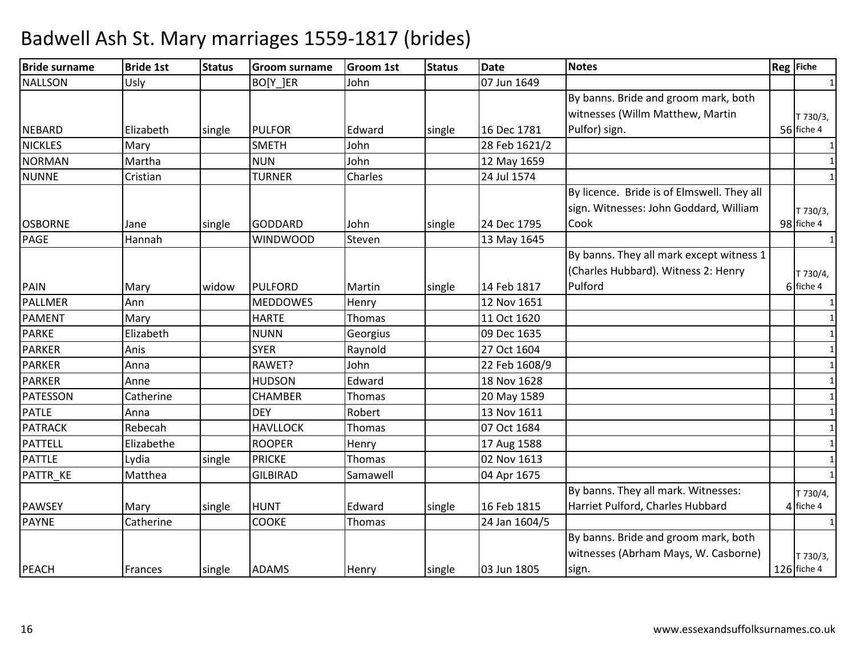| <b>Bride surname</b> | <b>Bride 1st</b> | <b>Status</b> | <b>Groom surname</b> | <b>Groom 1st</b> | <b>Status</b> | <b>Date</b>   | <b>Notes</b>                               | Reg Fiche    |
|----------------------|------------------|---------------|----------------------|------------------|---------------|---------------|--------------------------------------------|--------------|
| <b>NALLSON</b>       | Usly             |               | BO[Y_]ER             | John             |               | 07 Jun 1649   |                                            | 1            |
|                      |                  |               |                      |                  |               |               | By banns. Bride and groom mark, both       |              |
|                      |                  |               |                      |                  |               |               | witnesses (Willm Matthew, Martin           | T 730/3,     |
| <b>NEBARD</b>        | Elizabeth        | single        | <b>PULFOR</b>        | Edward           | single        | 16 Dec 1781   | Pulfor) sign.                              | 56 fiche 4   |
| <b>NICKLES</b>       | Mary             |               | <b>SMETH</b>         | John             |               | 28 Feb 1621/2 |                                            | 1            |
| <b>NORMAN</b>        | Martha           |               | <b>NUN</b>           | John             |               | 12 May 1659   |                                            | 1            |
| <b>NUNNE</b>         | Cristian         |               | <b>TURNER</b>        | Charles          |               | 24 Jul 1574   |                                            | $\mathbf{1}$ |
|                      |                  |               |                      |                  |               |               | By licence. Bride is of Elmswell. They all |              |
|                      |                  |               |                      |                  |               |               | sign. Witnesses: John Goddard, William     | T 730/3,     |
| <b>OSBORNE</b>       | Jane             | single        | <b>GODDARD</b>       | John             | single        | 24 Dec 1795   | Cook                                       | 98 fiche 4   |
| <b>PAGE</b>          | Hannah           |               | <b>WINDWOOD</b>      | Steven           |               | 13 May 1645   |                                            | $\mathbf{1}$ |
|                      |                  |               |                      |                  |               |               | By banns. They all mark except witness 1   |              |
|                      |                  |               |                      |                  |               |               | (Charles Hubbard). Witness 2: Henry        | T 730/4,     |
| PAIN                 | Mary             | widow         | <b>PULFORD</b>       | Martin           | single        | 14 Feb 1817   | Pulford                                    | 6 fiche 4    |
| <b>PALLMER</b>       | Ann              |               | <b>MEDDOWES</b>      | Henry            |               | 12 Nov 1651   |                                            | $\mathbf{1}$ |
| <b>PAMENT</b>        | Mary             |               | <b>HARTE</b>         | Thomas           |               | 11 Oct 1620   |                                            | $\mathbf{1}$ |
| <b>PARKE</b>         | Elizabeth        |               | <b>NUNN</b>          | Georgius         |               | 09 Dec 1635   |                                            | $\mathbf{1}$ |
| <b>PARKER</b>        | Anis             |               | <b>SYER</b>          | Raynold          |               | 27 Oct 1604   |                                            | 1            |
| <b>PARKER</b>        | Anna             |               | RAWET?               | John             |               | 22 Feb 1608/9 |                                            | $\mathbf{1}$ |
| <b>PARKER</b>        | Anne             |               | <b>HUDSON</b>        | Edward           |               | 18 Nov 1628   |                                            | $\mathbf{1}$ |
| <b>PATESSON</b>      | Catherine        |               | <b>CHAMBER</b>       | Thomas           |               | 20 May 1589   |                                            | $\mathbf{1}$ |
| <b>PATLE</b>         | Anna             |               | <b>DEY</b>           | Robert           |               | 13 Nov 1611   |                                            | $\mathbf{1}$ |
| <b>PATRACK</b>       | Rebecah          |               | <b>HAVLLOCK</b>      | Thomas           |               | 07 Oct 1684   |                                            | $\mathbf{1}$ |
| <b>PATTELL</b>       | Elizabethe       |               | <b>ROOPER</b>        | Henry            |               | 17 Aug 1588   |                                            | $\mathbf{1}$ |
| <b>PATTLE</b>        | Lydia            | single        | <b>PRICKE</b>        | Thomas           |               | 02 Nov 1613   |                                            | $\mathbf{1}$ |
| PATTR_KE             | Matthea          |               | <b>GILBIRAD</b>      | Samawell         |               | 04 Apr 1675   |                                            | $\mathbf{1}$ |
|                      |                  |               |                      |                  |               |               | By banns. They all mark. Witnesses:        | T 730/4,     |
| <b>PAWSEY</b>        | Mary             | single        | <b>HUNT</b>          | Edward           | single        | 16 Feb 1815   | Harriet Pulford, Charles Hubbard           | 4 fiche 4    |
| <b>PAYNE</b>         | Catherine        |               | <b>COOKE</b>         | Thomas           |               | 24 Jan 1604/5 |                                            | $\mathbf{1}$ |
|                      |                  |               |                      |                  |               |               | By banns. Bride and groom mark, both       |              |
|                      |                  |               |                      |                  |               |               | witnesses (Abrham Mays, W. Casborne)       | T 730/3,     |
| <b>PEACH</b>         | Frances          | single        | <b>ADAMS</b>         | Henry            | single        | 03 Jun 1805   | sign.                                      | 126 fiche 4  |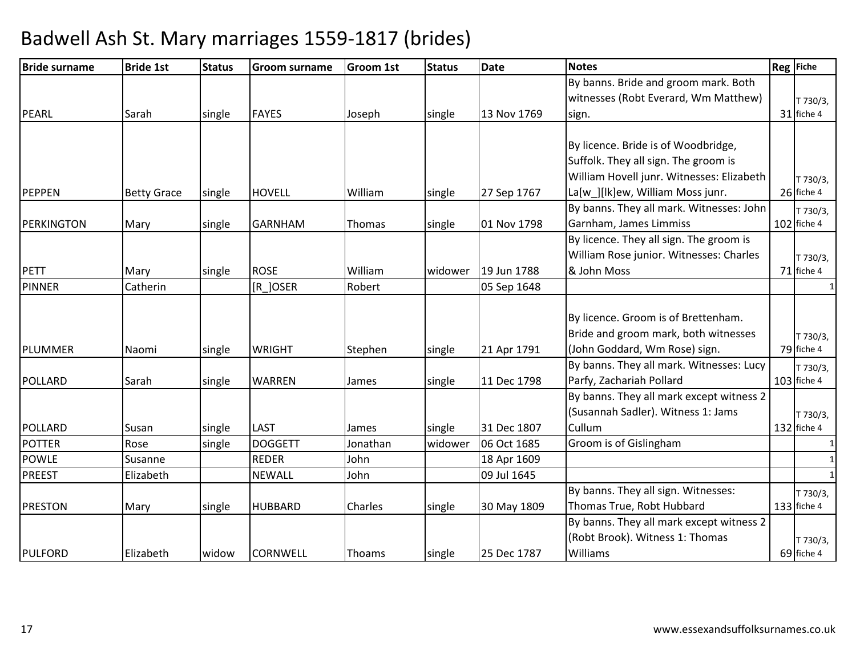| <b>Bride surname</b> | <b>Bride 1st</b>   | <b>Status</b> | <b>Groom surname</b> | <b>Groom 1st</b> | <b>Status</b> | <b>Date</b> | <b>Notes</b>                              | <b>Reg</b> Fiche |
|----------------------|--------------------|---------------|----------------------|------------------|---------------|-------------|-------------------------------------------|------------------|
|                      |                    |               |                      |                  |               |             | By banns. Bride and groom mark. Both      |                  |
|                      |                    |               |                      |                  |               |             | witnesses (Robt Everard, Wm Matthew)      | T 730/3,         |
| PEARL                | Sarah              | single        | <b>FAYES</b>         | Joseph           | single        | 13 Nov 1769 | sign.                                     | 31 fiche 4       |
|                      |                    |               |                      |                  |               |             |                                           |                  |
|                      |                    |               |                      |                  |               |             | By licence. Bride is of Woodbridge,       |                  |
|                      |                    |               |                      |                  |               |             | Suffolk. They all sign. The groom is      |                  |
|                      |                    |               |                      |                  |               |             | William Hovell junr. Witnesses: Elizabeth | T 730/3,         |
| PEPPEN               | <b>Betty Grace</b> | single        | <b>HOVELL</b>        | William          | single        | 27 Sep 1767 | La[w_][lk]ew, William Moss junr.          | 26 fiche 4       |
|                      |                    |               |                      |                  |               |             | By banns. They all mark. Witnesses: John  | T 730/3,         |
| PERKINGTON           | Mary               | single        | <b>GARNHAM</b>       | Thomas           | single        | 01 Nov 1798 | Garnham, James Limmiss                    | 102 fiche 4      |
|                      |                    |               |                      |                  |               |             | By licence. They all sign. The groom is   |                  |
|                      |                    |               |                      |                  |               |             | William Rose junior. Witnesses: Charles   | T 730/3,         |
| <b>PETT</b>          | Mary               | single        | <b>ROSE</b>          | William          | widower       | 19 Jun 1788 | & John Moss                               | 71 fiche 4       |
| <b>PINNER</b>        | Catherin           |               | $[R_$ JOSER          | Robert           |               | 05 Sep 1648 |                                           | $\mathbf{1}$     |
|                      |                    |               |                      |                  |               |             |                                           |                  |
|                      |                    |               |                      |                  |               |             | By licence. Groom is of Brettenham.       |                  |
|                      |                    |               |                      |                  |               |             | Bride and groom mark, both witnesses      | T 730/3,         |
| PLUMMER              | Naomi              | single        | <b>WRIGHT</b>        | Stephen          | single        | 21 Apr 1791 | (John Goddard, Wm Rose) sign.             | 79 fiche 4       |
|                      |                    |               |                      |                  |               |             | By banns. They all mark. Witnesses: Lucy  | T 730/3,         |
| POLLARD              | Sarah              | single        | <b>WARREN</b>        | James            | single        | 11 Dec 1798 | Parfy, Zachariah Pollard                  | 103 fiche 4      |
|                      |                    |               |                      |                  |               |             | By banns. They all mark except witness 2  |                  |
|                      |                    |               |                      |                  |               |             | (Susannah Sadler). Witness 1: Jams        | T 730/3,         |
| <b>POLLARD</b>       | Susan              | single        | <b>LAST</b>          | James            | single        | 31 Dec 1807 | Cullum                                    | $132$ fiche 4    |
| <b>POTTER</b>        | Rose               | single        | <b>DOGGETT</b>       | Jonathan         | widower       | 06 Oct 1685 | Groom is of Gislingham                    | 1                |
| <b>POWLE</b>         | Susanne            |               | <b>REDER</b>         | John             |               | 18 Apr 1609 |                                           | 1                |
| <b>PREEST</b>        | Elizabeth          |               | <b>NEWALL</b>        | John             |               | 09 Jul 1645 |                                           | $\mathbf{1}$     |
|                      |                    |               |                      |                  |               |             | By banns. They all sign. Witnesses:       | T 730/3,         |
| <b>PRESTON</b>       | Mary               | single        | <b>HUBBARD</b>       | <b>Charles</b>   | single        | 30 May 1809 | Thomas True, Robt Hubbard                 | 133 fiche 4      |
|                      |                    |               |                      |                  |               |             | By banns. They all mark except witness 2  |                  |
|                      |                    |               |                      |                  |               |             | (Robt Brook). Witness 1: Thomas           | T 730/3,         |
| <b>PULFORD</b>       | Elizabeth          | widow         | <b>CORNWELL</b>      | Thoams           | single        | 25 Dec 1787 | Williams                                  | 69 fiche 4       |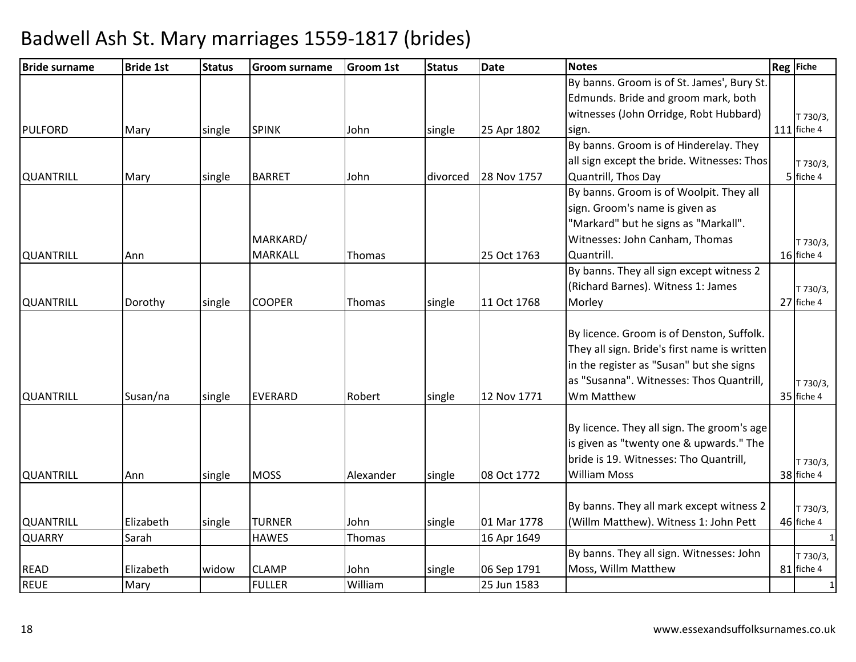| <b>Bride surname</b> | <b>Bride 1st</b> | <b>Status</b> | <b>Groom surname</b> | Groom 1st | <b>Status</b> | <b>Date</b> | <b>Notes</b>                                 | Reg Fiche    |
|----------------------|------------------|---------------|----------------------|-----------|---------------|-------------|----------------------------------------------|--------------|
|                      |                  |               |                      |           |               |             | By banns. Groom is of St. James', Bury St.   |              |
|                      |                  |               |                      |           |               |             | Edmunds. Bride and groom mark, both          |              |
|                      |                  |               |                      |           |               |             | witnesses (John Orridge, Robt Hubbard)       | T 730/3,     |
| <b>PULFORD</b>       | Mary             | single        | <b>SPINK</b>         | John      | single        | 25 Apr 1802 | sign.                                        | 111 fiche 4  |
|                      |                  |               |                      |           |               |             | By banns. Groom is of Hinderelay. They       |              |
|                      |                  |               |                      |           |               |             | all sign except the bride. Witnesses: Thos   | T 730/3,     |
| <b>QUANTRILL</b>     | Mary             | single        | <b>BARRET</b>        | John      | divorced      | 28 Nov 1757 | Quantrill, Thos Day                          | 5 fiche 4    |
|                      |                  |               |                      |           |               |             | By banns. Groom is of Woolpit. They all      |              |
|                      |                  |               |                      |           |               |             | sign. Groom's name is given as               |              |
|                      |                  |               |                      |           |               |             | "Markard" but he signs as "Markall".         |              |
|                      |                  |               | MARKARD/             |           |               |             | Witnesses: John Canham, Thomas               | T 730/3,     |
| <b>QUANTRILL</b>     | Ann              |               | <b>MARKALL</b>       | Thomas    |               | 25 Oct 1763 | Quantrill.                                   | 16 fiche 4   |
|                      |                  |               |                      |           |               |             | By banns. They all sign except witness 2     |              |
|                      |                  |               |                      |           |               |             | (Richard Barnes). Witness 1: James           | T 730/3,     |
| <b>QUANTRILL</b>     | Dorothy          | single        | <b>COOPER</b>        | Thomas    | single        | 11 Oct 1768 | Morley                                       | 27 fiche 4   |
|                      |                  |               |                      |           |               |             |                                              |              |
|                      |                  |               |                      |           |               |             | By licence. Groom is of Denston, Suffolk.    |              |
|                      |                  |               |                      |           |               |             | They all sign. Bride's first name is written |              |
|                      |                  |               |                      |           |               |             | in the register as "Susan" but she signs     |              |
|                      |                  |               |                      |           |               |             | as "Susanna". Witnesses: Thos Quantrill,     | T 730/3,     |
| <b>QUANTRILL</b>     | Susan/na         | single        | <b>EVERARD</b>       | Robert    | single        | 12 Nov 1771 | Wm Matthew                                   | 35 fiche 4   |
|                      |                  |               |                      |           |               |             |                                              |              |
|                      |                  |               |                      |           |               |             | By licence. They all sign. The groom's age   |              |
|                      |                  |               |                      |           |               |             | is given as "twenty one & upwards." The      |              |
|                      |                  |               |                      |           |               |             | bride is 19. Witnesses: Tho Quantrill,       | T 730/3,     |
| <b>QUANTRILL</b>     | Ann              | single        | <b>MOSS</b>          | Alexander | single        | 08 Oct 1772 | <b>William Moss</b>                          | 38 fiche 4   |
|                      |                  |               |                      |           |               |             |                                              |              |
|                      |                  |               |                      |           |               |             | By banns. They all mark except witness 2     | T 730/3,     |
| <b>QUANTRILL</b>     | Elizabeth        | single        | <b>TURNER</b>        | John      | single        | 01 Mar 1778 | (Willm Matthew). Witness 1: John Pett        | 46 fiche 4   |
| <b>QUARRY</b>        | Sarah            |               | <b>HAWES</b>         | Thomas    |               | 16 Apr 1649 |                                              | $\mathbf{1}$ |
|                      |                  |               |                      |           |               |             | By banns. They all sign. Witnesses: John     | T 730/3,     |
| <b>READ</b>          | Elizabeth        | widow         | <b>CLAMP</b>         | John      | single        | 06 Sep 1791 | Moss, Willm Matthew                          | 81 fiche 4   |
| <b>REUE</b>          | Mary             |               | <b>FULLER</b>        | William   |               | 25 Jun 1583 |                                              | -1           |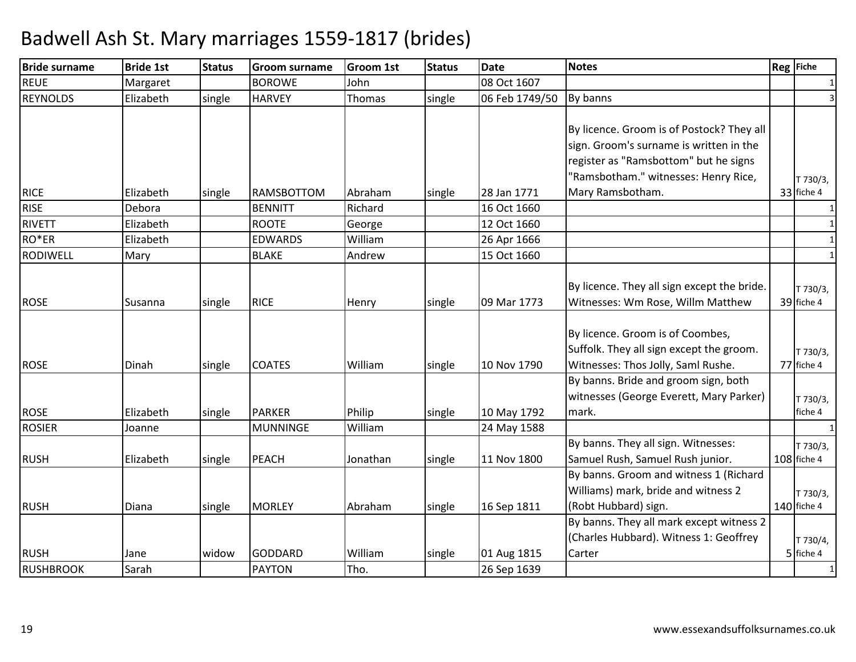| <b>Bride surname</b> | <b>Bride 1st</b> | <b>Status</b> | <b>Groom surname</b> | <b>Groom 1st</b> | <b>Status</b> | <b>Date</b>    | <b>Notes</b>                                | Reg Fiche    |
|----------------------|------------------|---------------|----------------------|------------------|---------------|----------------|---------------------------------------------|--------------|
| <b>REUE</b>          | Margaret         |               | <b>BOROWE</b>        | John             |               | 08 Oct 1607    |                                             |              |
| <b>REYNOLDS</b>      | Elizabeth        | single        | <b>HARVEY</b>        | Thomas           | single        | 06 Feb 1749/50 | By banns                                    | 3            |
|                      |                  |               |                      |                  |               |                |                                             |              |
|                      |                  |               |                      |                  |               |                | By licence. Groom is of Postock? They all   |              |
|                      |                  |               |                      |                  |               |                | sign. Groom's surname is written in the     |              |
|                      |                  |               |                      |                  |               |                | register as "Ramsbottom" but he signs       |              |
|                      |                  |               |                      |                  |               |                | "Ramsbotham." witnesses: Henry Rice,        | T 730/3,     |
| <b>RICE</b>          | Elizabeth        | single        | <b>RAMSBOTTOM</b>    | Abraham          | single        | 28 Jan 1771    | Mary Ramsbotham.                            | 33 fiche 4   |
| <b>RISE</b>          | Debora           |               | <b>BENNITT</b>       | Richard          |               | 16 Oct 1660    |                                             | $\mathbf{1}$ |
| <b>RIVETT</b>        | Elizabeth        |               | <b>ROOTE</b>         | George           |               | 12 Oct 1660    |                                             |              |
| RO*ER                | Elizabeth        |               | <b>EDWARDS</b>       | William          |               | 26 Apr 1666    |                                             | $\mathbf{1}$ |
| <b>RODIWELL</b>      | Mary             |               | <b>BLAKE</b>         | Andrew           |               | 15 Oct 1660    |                                             |              |
|                      |                  |               |                      |                  |               |                |                                             |              |
|                      |                  |               |                      |                  |               |                | By licence. They all sign except the bride. | T 730/3,     |
| <b>ROSE</b>          | Susanna          | single        | <b>RICE</b>          | Henry            | single        | 09 Mar 1773    | Witnesses: Wm Rose, Willm Matthew           | 39 fiche 4   |
|                      |                  |               |                      |                  |               |                |                                             |              |
|                      |                  |               |                      |                  |               |                | By licence. Groom is of Coombes,            |              |
|                      |                  |               |                      |                  |               |                | Suffolk. They all sign except the groom.    | T 730/3,     |
| <b>ROSE</b>          | Dinah            | single        | <b>COATES</b>        | William          | single        | 10 Nov 1790    | Witnesses: Thos Jolly, Saml Rushe.          | 77 fiche 4   |
|                      |                  |               |                      |                  |               |                | By banns. Bride and groom sign, both        |              |
|                      |                  |               |                      |                  |               |                | witnesses (George Everett, Mary Parker)     | T 730/3,     |
| <b>ROSE</b>          | Elizabeth        | single        | <b>PARKER</b>        | Philip           | single        | 10 May 1792    | mark.                                       | fiche 4      |
| <b>ROSIER</b>        | Joanne           |               | <b>MUNNINGE</b>      | William          |               | 24 May 1588    |                                             |              |
|                      |                  |               |                      |                  |               |                | By banns. They all sign. Witnesses:         | T 730/3,     |
| <b>RUSH</b>          | Elizabeth        | single        | <b>PEACH</b>         | Jonathan         | single        | 11 Nov 1800    | Samuel Rush, Samuel Rush junior.            | 108 fiche 4  |
|                      |                  |               |                      |                  |               |                | By banns. Groom and witness 1 (Richard      |              |
|                      |                  |               |                      |                  |               |                | Williams) mark, bride and witness 2         | T 730/3,     |
| <b>RUSH</b>          | Diana            | single        | <b>MORLEY</b>        | Abraham          | single        | 16 Sep 1811    | (Robt Hubbard) sign.                        | 140 fiche 4  |
|                      |                  |               |                      |                  |               |                | By banns. They all mark except witness 2    |              |
|                      |                  |               |                      |                  |               |                | (Charles Hubbard). Witness 1: Geoffrey      | T 730/4,     |
| <b>RUSH</b>          | Jane             | widow         | <b>GODDARD</b>       | William          | single        | 01 Aug 1815    | Carter                                      | 5 fiche 4    |
| <b>RUSHBROOK</b>     | Sarah            |               | <b>PAYTON</b>        | Tho.             |               | 26 Sep 1639    |                                             |              |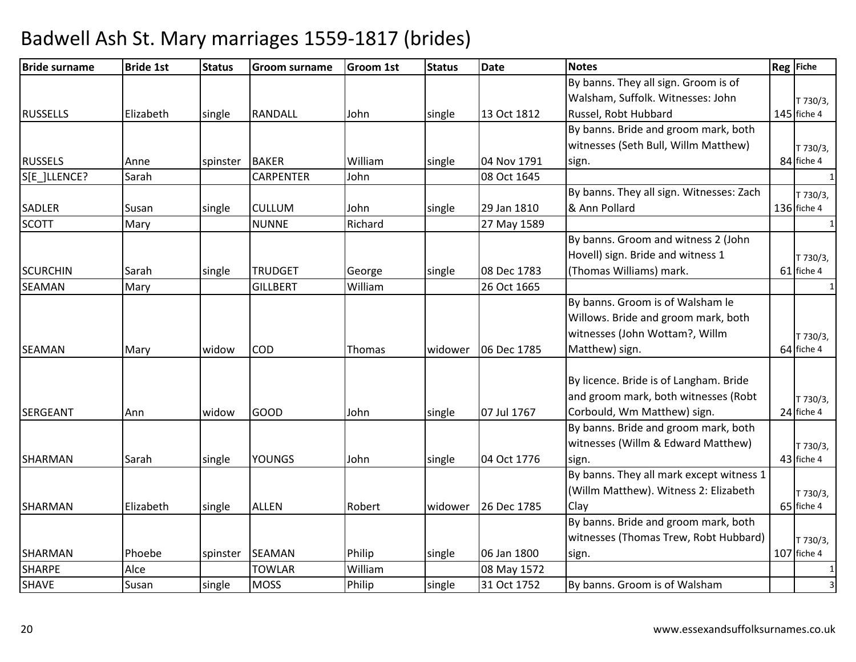| <b>Bride surname</b> | <b>Bride 1st</b> | <b>Status</b> | <b>Groom surname</b> | <b>Groom 1st</b> | <b>Status</b> | <b>Date</b> | <b>Notes</b>                             | Reg Fiche    |
|----------------------|------------------|---------------|----------------------|------------------|---------------|-------------|------------------------------------------|--------------|
|                      |                  |               |                      |                  |               |             | By banns. They all sign. Groom is of     |              |
|                      |                  |               |                      |                  |               |             | Walsham, Suffolk. Witnesses: John        | T 730/3,     |
| <b>RUSSELLS</b>      | Elizabeth        | single        | <b>RANDALL</b>       | John             | single        | 13 Oct 1812 | Russel, Robt Hubbard                     | 145 fiche 4  |
|                      |                  |               |                      |                  |               |             | By banns. Bride and groom mark, both     |              |
|                      |                  |               |                      |                  |               |             | witnesses (Seth Bull, Willm Matthew)     | T 730/3,     |
| <b>RUSSELS</b>       | Anne             | spinster      | <b>BAKER</b>         | William          | single        | 04 Nov 1791 | sign.                                    | 84 fiche 4   |
| S[E ]LLENCE?         | Sarah            |               | <b>CARPENTER</b>     | John             |               | 08 Oct 1645 |                                          | 1            |
|                      |                  |               |                      |                  |               |             | By banns. They all sign. Witnesses: Zach | T 730/3,     |
| <b>SADLER</b>        | Susan            | single        | <b>CULLUM</b>        | John             | single        | 29 Jan 1810 | & Ann Pollard                            | 136 fiche 4  |
| <b>SCOTT</b>         | Mary             |               | <b>NUNNE</b>         | Richard          |               | 27 May 1589 |                                          |              |
|                      |                  |               |                      |                  |               |             | By banns. Groom and witness 2 (John      |              |
|                      |                  |               |                      |                  |               |             | Hovell) sign. Bride and witness 1        | T 730/3,     |
| <b>SCURCHIN</b>      | Sarah            | single        | <b>TRUDGET</b>       | George           | single        | 08 Dec 1783 | (Thomas Williams) mark.                  | 61 fiche 4   |
| <b>SEAMAN</b>        | Mary             |               | <b>GILLBERT</b>      | William          |               | 26 Oct 1665 |                                          | $\mathbf{1}$ |
|                      |                  |               |                      |                  |               |             | By banns. Groom is of Walsham le         |              |
|                      |                  |               |                      |                  |               |             | Willows. Bride and groom mark, both      |              |
|                      |                  |               |                      |                  |               |             | witnesses (John Wottam?, Willm           | T 730/3,     |
| <b>SEAMAN</b>        | Mary             | widow         | COD                  | Thomas           | widower       | 06 Dec 1785 | Matthew) sign.                           | 64 fiche 4   |
|                      |                  |               |                      |                  |               |             |                                          |              |
|                      |                  |               |                      |                  |               |             | By licence. Bride is of Langham. Bride   |              |
|                      |                  |               |                      |                  |               |             | and groom mark, both witnesses (Robt     | T 730/3,     |
| <b>SERGEANT</b>      | Ann              | widow         | GOOD                 | John             | single        | 07 Jul 1767 | Corbould, Wm Matthew) sign.              | 24 fiche 4   |
|                      |                  |               |                      |                  |               |             | By banns. Bride and groom mark, both     |              |
|                      |                  |               |                      |                  |               |             | witnesses (Willm & Edward Matthew)       | T 730/3,     |
| <b>SHARMAN</b>       | Sarah            | single        | <b>YOUNGS</b>        | John             | single        | 04 Oct 1776 | sign.                                    | 43 fiche 4   |
|                      |                  |               |                      |                  |               |             | By banns. They all mark except witness 1 |              |
|                      |                  |               |                      |                  |               |             | (Willm Matthew). Witness 2: Elizabeth    | T 730/3,     |
| <b>SHARMAN</b>       | Elizabeth        | single        | <b>ALLEN</b>         | Robert           | widower       | 26 Dec 1785 | Clay                                     | 65 fiche 4   |
|                      |                  |               |                      |                  |               |             | By banns. Bride and groom mark, both     |              |
|                      |                  |               |                      |                  |               |             | witnesses (Thomas Trew, Robt Hubbard)    | T 730/3,     |
| SHARMAN              | Phoebe           | spinster      | <b>SEAMAN</b>        | Philip           | single        | 06 Jan 1800 | sign.                                    | 107 fiche 4  |
| <b>SHARPE</b>        | Alce             |               | <b>TOWLAR</b>        | William          |               | 08 May 1572 |                                          |              |
| <b>SHAVE</b>         | Susan            | single        | <b>MOSS</b>          | Philip           | single        | 31 Oct 1752 | By banns. Groom is of Walsham            | 3            |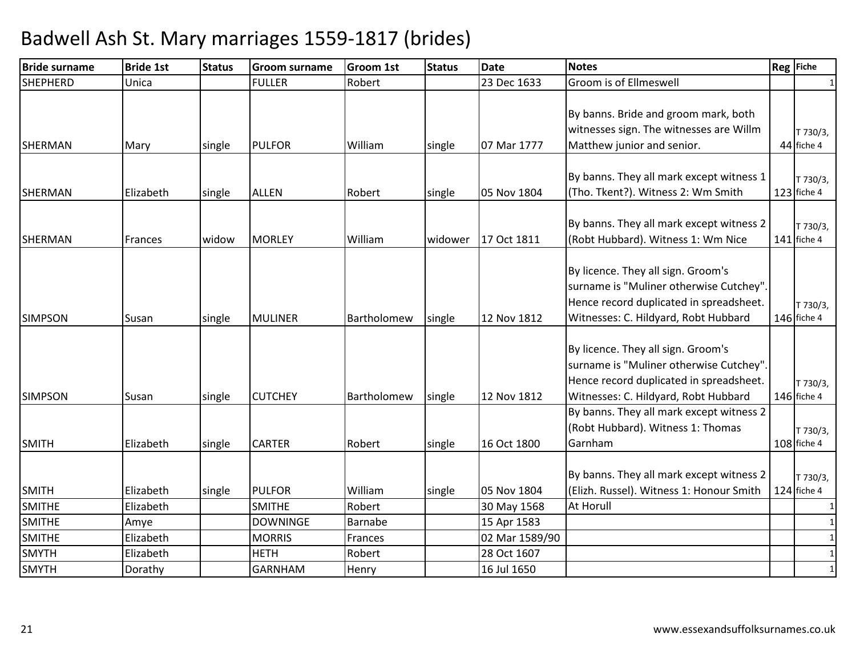| <b>Bride surname</b> | <b>Bride 1st</b> | <b>Status</b> | <b>Groom surname</b>         | <b>Groom 1st</b> | <b>Status</b> | <b>Date</b>    | <b>Notes</b>                                                                                                                                                     | Reg Fiche               |
|----------------------|------------------|---------------|------------------------------|------------------|---------------|----------------|------------------------------------------------------------------------------------------------------------------------------------------------------------------|-------------------------|
| <b>SHEPHERD</b>      | Unica            |               | <b>FULLER</b>                | Robert           |               | 23 Dec 1633    | Groom is of Ellmeswell                                                                                                                                           | 1                       |
| <b>SHERMAN</b>       | Mary             | single        | <b>PULFOR</b>                | William          | single        | 07 Mar 1777    | By banns. Bride and groom mark, both<br>witnesses sign. The witnesses are Willm<br>Matthew junior and senior.                                                    | T 730/3,<br>44 fiche 4  |
| SHERMAN              | Elizabeth        | single        | <b>ALLEN</b>                 | Robert           | single        | 05 Nov 1804    | By banns. They all mark except witness 1<br>(Tho. Tkent?). Witness 2: Wm Smith                                                                                   | T 730/3,<br>123 fiche 4 |
| <b>SHERMAN</b>       | Frances          | widow         | <b>MORLEY</b>                | William          | widower       | 17 Oct 1811    | By banns. They all mark except witness 2<br>(Robt Hubbard). Witness 1: Wm Nice                                                                                   | T 730/3,<br>141 fiche 4 |
| <b>SIMPSON</b>       | Susan            | single        | <b>MULINER</b>               | Bartholomew      | single        | 12 Nov 1812    | By licence. They all sign. Groom's<br>surname is "Muliner otherwise Cutchey".<br>Hence record duplicated in spreadsheet.<br>Witnesses: C. Hildyard, Robt Hubbard | T 730/3,<br>146 fiche 4 |
| <b>SIMPSON</b>       | Susan            | single        | <b>CUTCHEY</b>               | Bartholomew      | single        | 12 Nov 1812    | By licence. They all sign. Groom's<br>surname is "Muliner otherwise Cutchey".<br>Hence record duplicated in spreadsheet.<br>Witnesses: C. Hildyard, Robt Hubbard | T 730/3,<br>146 fiche 4 |
| <b>SMITH</b>         | Elizabeth        | single        | <b>CARTER</b>                | Robert           | single        | 16 Oct 1800    | By banns. They all mark except witness 2<br>(Robt Hubbard). Witness 1: Thomas<br>Garnham                                                                         | T 730/3,<br>108 fiche 4 |
| <b>SMITH</b>         | Elizabeth        | single        | <b>PULFOR</b>                | William          | single        | 05 Nov 1804    | By banns. They all mark except witness 2<br>(Elizh. Russel). Witness 1: Honour Smith                                                                             | T 730/3,<br>124 fiche 4 |
| <b>SMITHE</b>        | Elizabeth        |               | <b>SMITHE</b>                | Robert           |               | 30 May 1568    | At Horull                                                                                                                                                        |                         |
| <b>SMITHE</b>        | Amye             |               | <b>DOWNINGE</b>              | Barnabe          |               | 15 Apr 1583    |                                                                                                                                                                  | $\mathbf{1}$            |
| <b>SMITHE</b>        | Elizabeth        |               | <b>MORRIS</b><br><b>HETH</b> | Frances          |               | 02 Mar 1589/90 |                                                                                                                                                                  | 1                       |
| <b>SMYTH</b>         | Elizabeth        |               |                              | Robert           |               | 28 Oct 1607    |                                                                                                                                                                  | $\mathbf{1}$            |
| <b>SMYTH</b>         | Dorathy          |               | <b>GARNHAM</b>               | Henry            |               | 16 Jul 1650    |                                                                                                                                                                  |                         |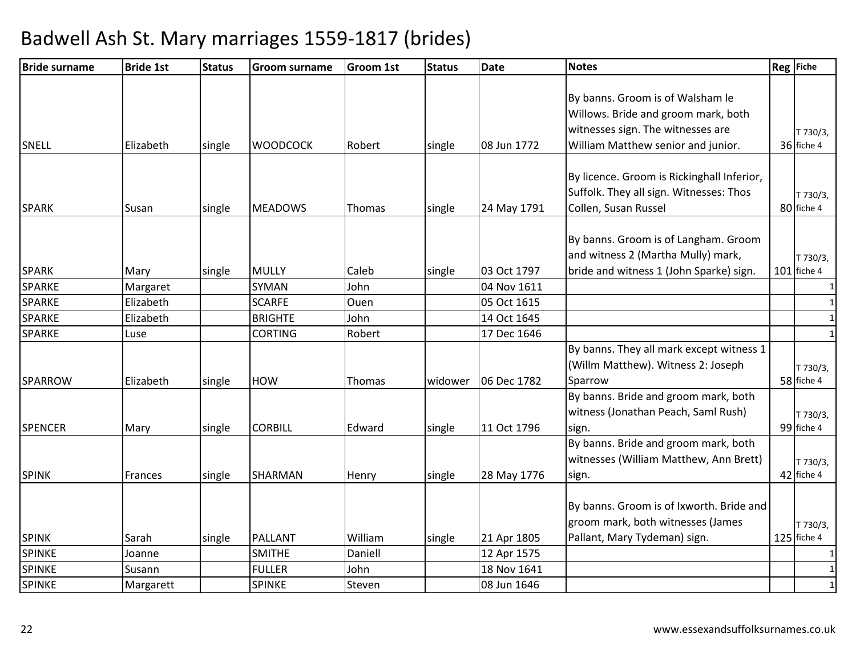| <b>Bride surname</b>          | <b>Bride 1st</b> | <b>Status</b> | <b>Groom surname</b> | <b>Groom 1st</b> | <b>Status</b> | <b>Date</b> | <b>Notes</b>                               | Reg Fiche     |
|-------------------------------|------------------|---------------|----------------------|------------------|---------------|-------------|--------------------------------------------|---------------|
|                               |                  |               |                      |                  |               |             |                                            |               |
|                               |                  |               |                      |                  |               |             | By banns. Groom is of Walsham le           |               |
|                               |                  |               |                      |                  |               |             | Willows. Bride and groom mark, both        |               |
|                               |                  |               |                      |                  |               |             | witnesses sign. The witnesses are          | T 730/3,      |
| <b>SNELL</b>                  | Elizabeth        | single        | <b>WOODCOCK</b>      | Robert           | single        | 08 Jun 1772 | William Matthew senior and junior.         | 36 fiche 4    |
|                               |                  |               |                      |                  |               |             | By licence. Groom is Rickinghall Inferior, |               |
|                               |                  |               |                      |                  |               |             | Suffolk. They all sign. Witnesses: Thos    | T 730/3,      |
| <b>SPARK</b>                  | Susan            | single        | <b>MEADOWS</b>       | Thomas           | single        | 24 May 1791 | Collen, Susan Russel                       | 80 fiche 4    |
|                               |                  |               |                      |                  |               |             |                                            |               |
|                               |                  |               |                      |                  |               |             | By banns. Groom is of Langham. Groom       |               |
|                               |                  |               |                      |                  |               |             | and witness 2 (Martha Mully) mark,         | T 730/3,      |
| <b>SPARK</b>                  | Mary             | single        | <b>MULLY</b>         | Caleb            | single        | 03 Oct 1797 | bride and witness 1 (John Sparke) sign.    | 101 fiche 4   |
| <b>SPARKE</b>                 | Margaret         |               | <b>SYMAN</b>         | John             |               | 04 Nov 1611 |                                            | 1             |
| SPARKE                        | Elizabeth        |               | <b>SCARFE</b>        | Ouen             |               | 05 Oct 1615 |                                            |               |
| <b>SPARKE</b>                 | Elizabeth        |               | <b>BRIGHTE</b>       | John             |               | 14 Oct 1645 |                                            | $\mathbf{1}$  |
| <b>SPARKE</b>                 | Luse             |               | <b>CORTING</b>       | Robert           |               | 17 Dec 1646 |                                            | $\mathbf{1}$  |
|                               |                  |               |                      |                  |               |             | By banns. They all mark except witness 1   |               |
|                               |                  |               |                      |                  |               |             | (Willm Matthew). Witness 2: Joseph         | T 730/3,      |
| <b>SPARROW</b>                | Elizabeth        | single        | <b>HOW</b>           | Thomas           | widower       | 06 Dec 1782 | Sparrow                                    | 58 fiche 4    |
|                               |                  |               |                      |                  |               |             | By banns. Bride and groom mark, both       |               |
|                               |                  |               |                      |                  |               |             | witness (Jonathan Peach, Saml Rush)        | T 730/3,      |
| <b>SPENCER</b>                | Mary             | single        | <b>CORBILL</b>       | Edward           | single        | 11 Oct 1796 | sign.                                      | 99 fiche 4    |
|                               |                  |               |                      |                  |               |             | By banns. Bride and groom mark, both       |               |
|                               |                  |               |                      |                  |               |             | witnesses (William Matthew, Ann Brett)     | T 730/3,      |
| <b>SPINK</b>                  | Frances          | single        | SHARMAN              | Henry            | single        | 28 May 1776 | sign.                                      | 42 fiche 4    |
|                               |                  |               |                      |                  |               |             |                                            |               |
|                               |                  |               |                      |                  |               |             | By banns. Groom is of Ixworth. Bride and   |               |
|                               |                  |               |                      |                  |               |             | groom mark, both witnesses (James          | T 730/3,      |
| <b>SPINK</b><br><b>SPINKE</b> | Sarah            | single        | <b>PALLANT</b>       | William          | single        | 21 Apr 1805 | Pallant, Mary Tydeman) sign.               | $125$ fiche 4 |
| SPINKE                        | Joanne           |               | <b>SMITHE</b>        | Daniell          |               | 12 Apr 1575 |                                            | 1             |
|                               | Susann           |               | <b>FULLER</b>        | John             |               | 18 Nov 1641 |                                            | 1             |
| <b>SPINKE</b>                 | Margarett        |               | <b>SPINKE</b>        | Steven           |               | 08 Jun 1646 |                                            | $\mathbf{1}$  |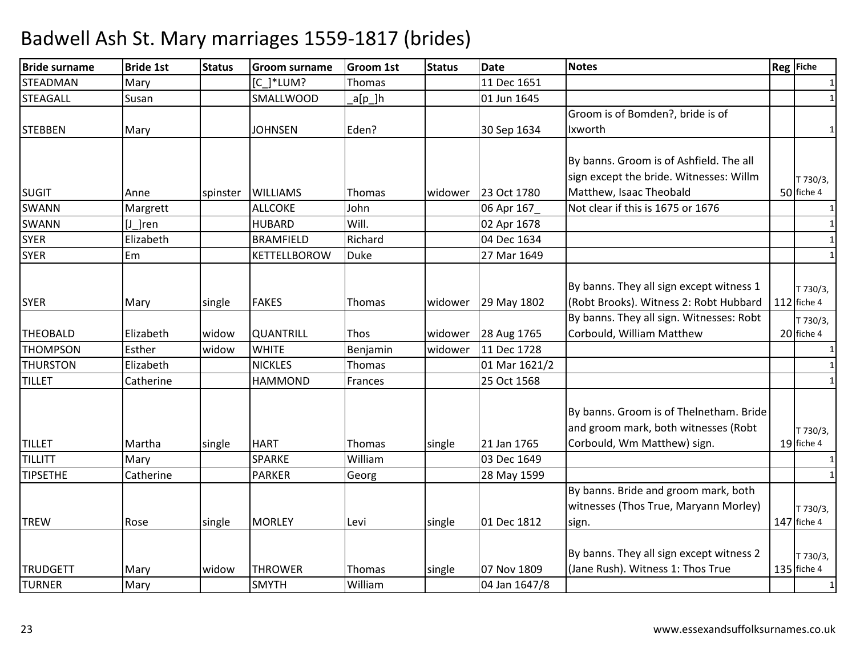| <b>Bride surname</b> | <b>Bride 1st</b> | <b>Status</b> | <b>Groom surname</b> | <b>Groom 1st</b> | <b>Status</b> | <b>Date</b>   | <b>Notes</b>                             | <b>Reg</b> Fiche |
|----------------------|------------------|---------------|----------------------|------------------|---------------|---------------|------------------------------------------|------------------|
| <b>STEADMAN</b>      | Mary             |               | [C ]*LUM?            | Thomas           |               | 11 Dec 1651   |                                          | 1                |
| <b>STEAGALL</b>      | Susan            |               | SMALLWOOD            | $a[p_]h$         |               | 01 Jun 1645   |                                          | $\mathbf{1}$     |
|                      |                  |               |                      |                  |               |               | Groom is of Bomden?, bride is of         |                  |
| <b>STEBBEN</b>       | Mary             |               | <b>JOHNSEN</b>       | Eden?            |               | 30 Sep 1634   | Ixworth                                  | $\mathbf{1}$     |
|                      |                  |               |                      |                  |               |               |                                          |                  |
|                      |                  |               |                      |                  |               |               | By banns. Groom is of Ashfield. The all  |                  |
|                      |                  |               |                      |                  |               |               | sign except the bride. Witnesses: Willm  | T 730/3,         |
| <b>SUGIT</b>         | Anne             | spinster      | <b>WILLIAMS</b>      | Thomas           | widower       | 23 Oct 1780   | Matthew, Isaac Theobald                  | 50 fiche 4       |
| <b>SWANN</b>         | Margrett         |               | <b>ALLCOKE</b>       | John             |               | 06 Apr 167    | Not clear if this is 1675 or 1676        | $\mathbf{1}$     |
| <b>SWANN</b>         | $[J]$ ren        |               | <b>HUBARD</b>        | Will.            |               | 02 Apr 1678   |                                          | $\mathbf{1}$     |
| <b>SYER</b>          | Elizabeth        |               | <b>BRAMFIELD</b>     | Richard          |               | 04 Dec 1634   |                                          | $\mathbf{1}$     |
| <b>SYER</b>          | Em               |               | KETTELLBOROW         | <b>Duke</b>      |               | 27 Mar 1649   |                                          | $\mathbf{1}$     |
|                      |                  |               |                      |                  |               |               |                                          |                  |
|                      |                  |               |                      |                  |               |               | By banns. They all sign except witness 1 | T 730/3,         |
| <b>SYER</b>          | Mary             | single        | <b>FAKES</b>         | Thomas           | widower       | 29 May 1802   | (Robt Brooks). Witness 2: Robt Hubbard   | $112$ fiche 4    |
|                      |                  |               |                      |                  |               |               | By banns. They all sign. Witnesses: Robt | T 730/3,         |
| <b>THEOBALD</b>      | Elizabeth        | widow         | <b>QUANTRILL</b>     | Thos             | widower       | 28 Aug 1765   | Corbould, William Matthew                | 20 fiche 4       |
| <b>THOMPSON</b>      | Esther           | widow         | <b>WHITE</b>         | Benjamin         | widower       | 11 Dec 1728   |                                          | $\mathbf{1}$     |
| <b>THURSTON</b>      | Elizabeth        |               | <b>NICKLES</b>       | Thomas           |               | 01 Mar 1621/2 |                                          | $\mathbf{1}$     |
| <b>TILLET</b>        | Catherine        |               | <b>HAMMOND</b>       | Frances          |               | 25 Oct 1568   |                                          | $\mathbf{1}$     |
|                      |                  |               |                      |                  |               |               |                                          |                  |
|                      |                  |               |                      |                  |               |               | By banns. Groom is of Thelnetham. Bride  |                  |
|                      |                  |               |                      |                  |               |               | and groom mark, both witnesses (Robt     | T 730/3,         |
| <b>TILLET</b>        | Martha           | single        | <b>HART</b>          | Thomas           | single        | 21 Jan 1765   | Corbould, Wm Matthew) sign.              | 19 fiche 4       |
| <b>TILLITT</b>       | Mary             |               | <b>SPARKE</b>        | William          |               | 03 Dec 1649   |                                          | $\mathbf{1}$     |
| <b>TIPSETHE</b>      | Catherine        |               | <b>PARKER</b>        | Georg            |               | 28 May 1599   |                                          | 1                |
|                      |                  |               |                      |                  |               |               | By banns. Bride and groom mark, both     |                  |
|                      |                  |               |                      |                  |               |               | witnesses (Thos True, Maryann Morley)    | T 730/3,         |
| <b>TREW</b>          | Rose             | single        | <b>MORLEY</b>        | Levi             | single        | 01 Dec 1812   | sign.                                    | 147 fiche 4      |
|                      |                  |               |                      |                  |               |               |                                          |                  |
|                      |                  |               |                      |                  |               |               | By banns. They all sign except witness 2 | T 730/3,         |
| <b>TRUDGETT</b>      | Mary             | widow         | <b>THROWER</b>       | Thomas           | single        | 07 Nov 1809   | (Jane Rush). Witness 1: Thos True        | $135$ fiche 4    |
| <b>TURNER</b>        | Mary             |               | <b>SMYTH</b>         | William          |               | 04 Jan 1647/8 |                                          | $\mathbf{1}$     |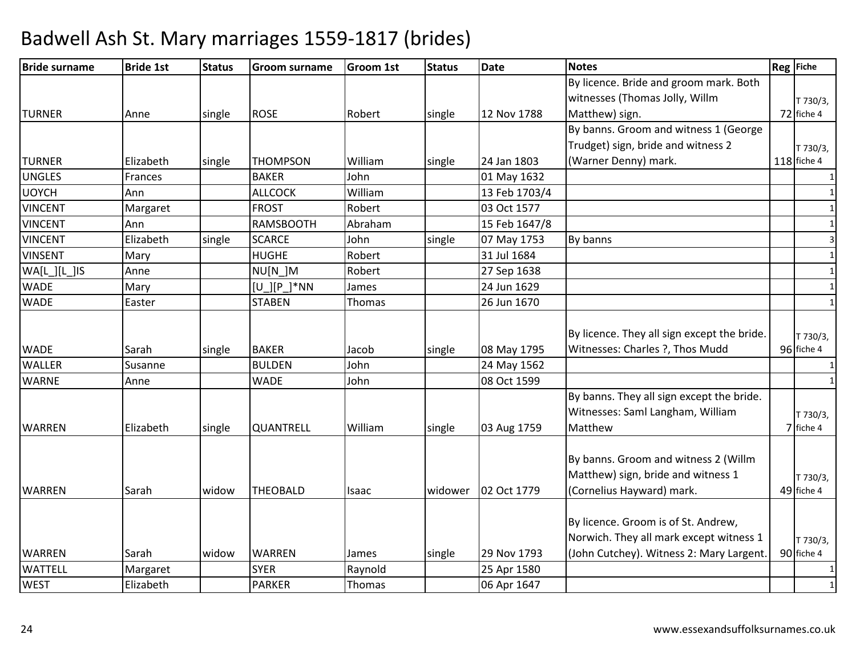| <b>Bride surname</b> | <b>Bride 1st</b> | <b>Status</b> | <b>Groom surname</b> | <b>Groom 1st</b> | <b>Status</b> | <b>Date</b>   | <b>Notes</b>                                | Reg Fiche    |
|----------------------|------------------|---------------|----------------------|------------------|---------------|---------------|---------------------------------------------|--------------|
|                      |                  |               |                      |                  |               |               | By licence. Bride and groom mark. Both      |              |
|                      |                  |               |                      |                  |               |               | witnesses (Thomas Jolly, Willm              | T 730/3,     |
| <b>TURNER</b>        | Anne             | single        | <b>ROSE</b>          | Robert           | single        | 12 Nov 1788   | Matthew) sign.                              | 72 fiche 4   |
|                      |                  |               |                      |                  |               |               | By banns. Groom and witness 1 (George       |              |
|                      |                  |               |                      |                  |               |               | Trudget) sign, bride and witness 2          | T 730/3,     |
| <b>TURNER</b>        | Elizabeth        | single        | <b>THOMPSON</b>      | William          | single        | 24 Jan 1803   | (Warner Denny) mark.                        | 118 fiche 4  |
| <b>UNGLES</b>        | Frances          |               | <b>BAKER</b>         | John             |               | 01 May 1632   |                                             | 1            |
| <b>UOYCH</b>         | Ann              |               | <b>ALLCOCK</b>       | William          |               | 13 Feb 1703/4 |                                             | $\mathbf{1}$ |
| <b>VINCENT</b>       | Margaret         |               | <b>FROST</b>         | Robert           |               | 03 Oct 1577   |                                             | $\mathbf{1}$ |
| <b>VINCENT</b>       | Ann              |               | <b>RAMSBOOTH</b>     | Abraham          |               | 15 Feb 1647/8 |                                             | $\mathbf{1}$ |
| <b>VINCENT</b>       | Elizabeth        | single        | <b>SCARCE</b>        | John             | single        | 07 May 1753   | By banns                                    | 3            |
| <b>VINSENT</b>       | Mary             |               | <b>HUGHE</b>         | Robert           |               | 31 Jul 1684   |                                             | $\mathbf{1}$ |
| WA[L][L][S]          | Anne             |               | NU[N_]M              | Robert           |               | 27 Sep 1638   |                                             | 1            |
| <b>WADE</b>          | Mary             |               | [U ][P ]*NN          | James            |               | 24 Jun 1629   |                                             | $\mathbf{1}$ |
| <b>WADE</b>          | Easter           |               | <b>STABEN</b>        | Thomas           |               | 26 Jun 1670   |                                             | $\mathbf{1}$ |
|                      |                  |               |                      |                  |               |               |                                             |              |
|                      |                  |               |                      |                  |               |               | By licence. They all sign except the bride. | T 730/3,     |
| <b>WADE</b>          | Sarah            | single        | <b>BAKER</b>         | Jacob            | single        | 08 May 1795   | Witnesses: Charles ?, Thos Mudd             | 96 fiche 4   |
| <b>WALLER</b>        | Susanne          |               | <b>BULDEN</b>        | John             |               | 24 May 1562   |                                             | $\mathbf{1}$ |
| <b>WARNE</b>         | Anne             |               | <b>WADE</b>          | John             |               | 08 Oct 1599   |                                             | $\mathbf{1}$ |
|                      |                  |               |                      |                  |               |               | By banns. They all sign except the bride.   |              |
|                      |                  |               |                      |                  |               |               | Witnesses: Saml Langham, William            | T 730/3,     |
| <b>WARREN</b>        | Elizabeth        | single        | <b>QUANTRELL</b>     | William          | single        | 03 Aug 1759   | Matthew                                     | 7 fiche 4    |
|                      |                  |               |                      |                  |               |               |                                             |              |
|                      |                  |               |                      |                  |               |               | By banns. Groom and witness 2 (Willm        |              |
|                      |                  |               |                      |                  |               |               | Matthew) sign, bride and witness 1          | T 730/3,     |
| <b>WARREN</b>        | Sarah            | widow         | <b>THEOBALD</b>      | Isaac            | widower       | 02 Oct 1779   | (Cornelius Hayward) mark.                   | 49 fiche 4   |
|                      |                  |               |                      |                  |               |               |                                             |              |
|                      |                  |               |                      |                  |               |               | By licence. Groom is of St. Andrew,         |              |
|                      |                  |               |                      |                  |               |               | Norwich. They all mark except witness 1     | T 730/3,     |
| <b>WARREN</b>        | Sarah            | widow         | <b>WARREN</b>        | James            | single        | 29 Nov 1793   | (John Cutchey). Witness 2: Mary Largent.    | 90 fiche 4   |
| <b>WATTELL</b>       | Margaret         |               | <b>SYER</b>          | Raynold          |               | 25 Apr 1580   |                                             | 1            |
| <b>WEST</b>          | Elizabeth        |               | <b>PARKER</b>        | Thomas           |               | 06 Apr 1647   |                                             | $\mathbf{1}$ |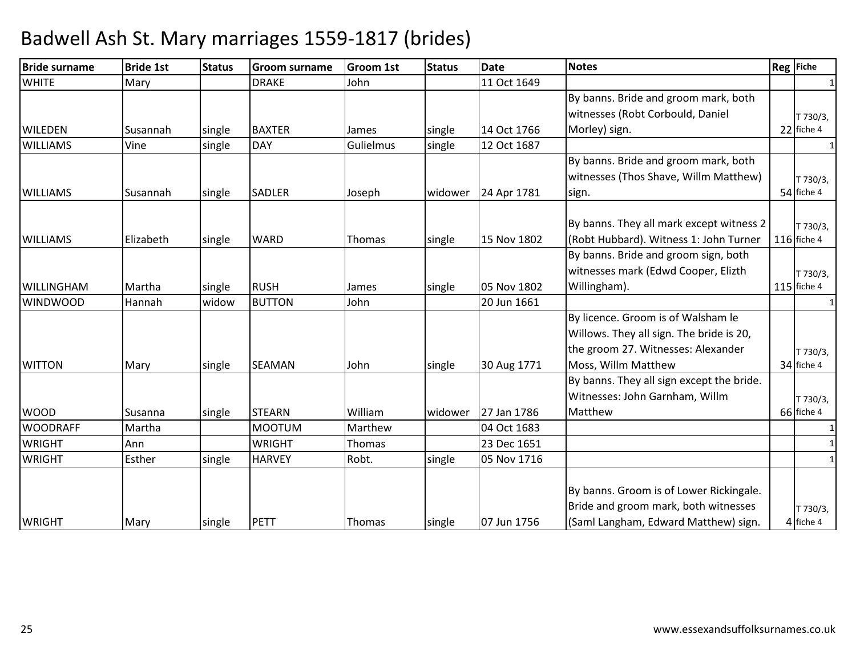| <b>Bride surname</b> | <b>Bride 1st</b> | <b>Status</b> | <b>Groom surname</b> | <b>Groom 1st</b> | <b>Status</b> | <b>Date</b> | <b>Notes</b>                              | Reg Fiche             |
|----------------------|------------------|---------------|----------------------|------------------|---------------|-------------|-------------------------------------------|-----------------------|
| <b>WHITE</b>         | Mary             |               | <b>DRAKE</b>         | John             |               | 11 Oct 1649 |                                           |                       |
|                      |                  |               |                      |                  |               |             | By banns. Bride and groom mark, both      |                       |
|                      |                  |               |                      |                  |               |             | witnesses (Robt Corbould, Daniel          | T 730/3,              |
| <b>WILEDEN</b>       | Susannah         | single        | <b>BAXTER</b>        | James            | single        | 14 Oct 1766 | Morley) sign.                             | 22 fiche 4            |
| <b>WILLIAMS</b>      | Vine             | single        | <b>DAY</b>           | Gulielmus        | single        | 12 Oct 1687 |                                           | $\mathbf{1}$          |
|                      |                  |               |                      |                  |               |             | By banns. Bride and groom mark, both      |                       |
|                      |                  |               |                      |                  |               |             | witnesses (Thos Shave, Willm Matthew)     | T 730/3,              |
| <b>WILLIAMS</b>      | Susannah         | single        | <b>SADLER</b>        | Joseph           | widower       | 24 Apr 1781 | sign.                                     | 54 fiche 4            |
|                      |                  |               |                      |                  |               |             |                                           |                       |
|                      |                  |               |                      |                  |               |             | By banns. They all mark except witness 2  | T 730/3,              |
| <b>WILLIAMS</b>      | Elizabeth        | single        | <b>WARD</b>          | Thomas           | single        | 15 Nov 1802 | (Robt Hubbard). Witness 1: John Turner    | 116 fiche 4           |
|                      |                  |               |                      |                  |               |             | By banns. Bride and groom sign, both      |                       |
|                      |                  |               |                      |                  |               |             | witnesses mark (Edwd Cooper, Elizth       | T 730/3,              |
| <b>WILLINGHAM</b>    | Martha           | single        | <b>RUSH</b>          | James            | single        | 05 Nov 1802 | Willingham).                              | 115 fiche 4           |
| <b>WINDWOOD</b>      | Hannah           | widow         | <b>BUTTON</b>        | John             |               | 20 Jun 1661 |                                           | 1                     |
|                      |                  |               |                      |                  |               |             | By licence. Groom is of Walsham le        |                       |
|                      |                  |               |                      |                  |               |             | Willows. They all sign. The bride is 20,  |                       |
|                      |                  |               |                      |                  |               |             | the groom 27. Witnesses: Alexander        | T 730/3,              |
| <b>WITTON</b>        | Mary             | single        | <b>SEAMAN</b>        | John             | single        | 30 Aug 1771 | Moss, Willm Matthew                       | 34 fiche 4            |
|                      |                  |               |                      |                  |               |             | By banns. They all sign except the bride. |                       |
|                      |                  |               |                      |                  |               |             | Witnesses: John Garnham, Willm            | T 730/3,              |
| <b>WOOD</b>          | Susanna          | single        | <b>STEARN</b>        | William          | widower       | 27 Jan 1786 | Matthew                                   | 66 fiche 4            |
| <b>WOODRAFF</b>      | Martha           |               | <b>MOOTUM</b>        | Marthew          |               | 04 Oct 1683 |                                           | 1                     |
| <b>WRIGHT</b>        | Ann              |               | <b>WRIGHT</b>        | Thomas           |               | 23 Dec 1651 |                                           |                       |
| <b>WRIGHT</b>        | Esther           | single        | <b>HARVEY</b>        | Robt.            | single        | 05 Nov 1716 |                                           | 1                     |
|                      |                  |               |                      |                  |               |             | By banns. Groom is of Lower Rickingale.   |                       |
|                      |                  |               |                      |                  |               |             | Bride and groom mark, both witnesses      |                       |
| <b>WRIGHT</b>        | Mary             | single        | <b>PETT</b>          | Thomas           | single        | 07 Jun 1756 | (Saml Langham, Edward Matthew) sign.      | T 730/3,<br>4 fiche 4 |
|                      |                  |               |                      |                  |               |             |                                           |                       |